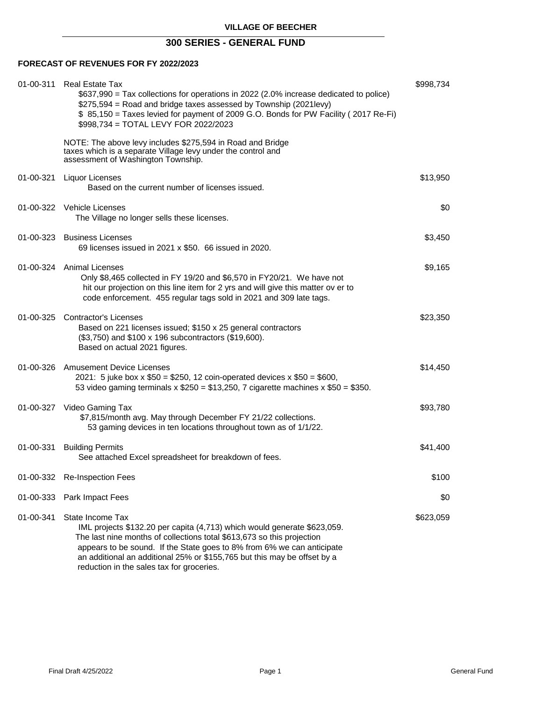# **300 SERIES - GENERAL FUND**

# **FORECAST OF REVENUES FOR FY 2022/2023**

|           | 01-00-311 Real Estate Tax<br>\$637,990 = Tax collections for operations in 2022 (2.0% increase dedicated to police)<br>\$275,594 = Road and bridge taxes assessed by Township (2021levy)<br>\$85,150 = Taxes levied for payment of 2009 G.O. Bonds for PW Facility (2017 Re-Fi)<br>\$998,734 = TOTAL LEVY FOR 2022/2023                                                   | \$998,734 |
|-----------|---------------------------------------------------------------------------------------------------------------------------------------------------------------------------------------------------------------------------------------------------------------------------------------------------------------------------------------------------------------------------|-----------|
|           | NOTE: The above levy includes \$275,594 in Road and Bridge<br>taxes which is a separate Village levy under the control and<br>assessment of Washington Township.                                                                                                                                                                                                          |           |
| 01-00-321 | <b>Liquor Licenses</b><br>Based on the current number of licenses issued.                                                                                                                                                                                                                                                                                                 | \$13,950  |
|           | 01-00-322 Vehicle Licenses<br>The Village no longer sells these licenses.                                                                                                                                                                                                                                                                                                 | \$0       |
|           | 01-00-323 Business Licenses<br>69 licenses issued in 2021 x \$50. 66 issued in 2020.                                                                                                                                                                                                                                                                                      | \$3,450   |
|           | 01-00-324 Animal Licenses<br>Only \$8,465 collected in FY 19/20 and \$6,570 in FY20/21. We have not<br>hit our projection on this line item for 2 yrs and will give this matter ov er to<br>code enforcement. 455 regular tags sold in 2021 and 309 late tags.                                                                                                            | \$9,165   |
|           | 01-00-325 Contractor's Licenses<br>Based on 221 licenses issued; \$150 x 25 general contractors<br>(\$3,750) and \$100 x 196 subcontractors (\$19,600).<br>Based on actual 2021 figures.                                                                                                                                                                                  | \$23,350  |
|           | 01-00-326 Amusement Device Licenses<br>2021: 5 juke box x $$50 = $250$ , 12 coin-operated devices x $$50 = $600$ ,<br>53 video gaming terminals x $$250 = $13,250$ , 7 cigarette machines x $$50 = $350$ .                                                                                                                                                                | \$14,450  |
|           | 01-00-327 Video Gaming Tax<br>\$7,815/month avg. May through December FY 21/22 collections.<br>53 gaming devices in ten locations throughout town as of 1/1/22.                                                                                                                                                                                                           | \$93,780  |
| 01-00-331 | <b>Building Permits</b><br>See attached Excel spreadsheet for breakdown of fees.                                                                                                                                                                                                                                                                                          | \$41,400  |
|           | 01-00-332 Re-Inspection Fees                                                                                                                                                                                                                                                                                                                                              | \$100     |
| 01-00-333 | Park Impact Fees                                                                                                                                                                                                                                                                                                                                                          | \$0       |
| 01-00-341 | State Income Tax<br>IML projects \$132.20 per capita (4,713) which would generate \$623,059.<br>The last nine months of collections total \$613,673 so this projection<br>appears to be sound. If the State goes to 8% from 6% we can anticipate<br>an additional an additional 25% or \$155,765 but this may be offset by a<br>reduction in the sales tax for groceries. | \$623,059 |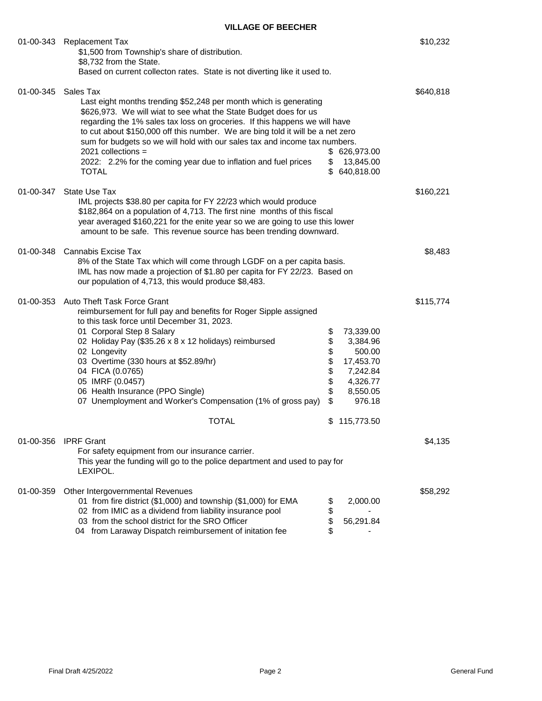| 01-00-343 | <b>Replacement Tax</b><br>\$1,500 from Township's share of distribution.<br>\$8,732 from the State.                                                                                                                                                                                                                                                                                                                                                                                                                                                             |                                        |                                                                                                          |           |  |  |
|-----------|-----------------------------------------------------------------------------------------------------------------------------------------------------------------------------------------------------------------------------------------------------------------------------------------------------------------------------------------------------------------------------------------------------------------------------------------------------------------------------------------------------------------------------------------------------------------|----------------------------------------|----------------------------------------------------------------------------------------------------------|-----------|--|--|
|           | Based on current collecton rates. State is not diverting like it used to.                                                                                                                                                                                                                                                                                                                                                                                                                                                                                       |                                        |                                                                                                          |           |  |  |
| 01-00-345 | Sales Tax<br>Last eight months trending \$52,248 per month which is generating<br>\$626,973. We will wiat to see what the State Budget does for us<br>regarding the 1% sales tax loss on groceries. If this happens we will have<br>to cut about \$150,000 off this number. We are bing told it will be a net zero<br>sum for budgets so we will hold with our sales tax and income tax numbers.<br>$2021$ collections =<br>\$<br>626,973.00<br>2022: 2.2% for the coming year due to inflation and fuel prices<br>\$<br>13,845.00<br>\$<br>640,818.00<br>TOTAL |                                        |                                                                                                          |           |  |  |
|           | 01-00-347 State Use Tax<br>IML projects \$38.80 per capita for FY 22/23 which would produce<br>\$182,864 on a population of 4,713. The first nine months of this fiscal<br>year averaged \$160,221 for the enite year so we are going to use this lower<br>amount to be safe. This revenue source has been trending downward.                                                                                                                                                                                                                                   |                                        |                                                                                                          | \$160,221 |  |  |
|           | 01-00-348 Cannabis Excise Tax<br>8% of the State Tax which will come through LGDF on a per capita basis.<br>IML has now made a projection of \$1.80 per capita for FY 22/23. Based on<br>our population of 4,713, this would produce \$8,483.                                                                                                                                                                                                                                                                                                                   |                                        |                                                                                                          | \$8,483   |  |  |
| 01-00-353 | Auto Theft Task Force Grant<br>reimbursement for full pay and benefits for Roger Sipple assigned<br>to this task force until December 31, 2023.<br>01 Corporal Step 8 Salary<br>02 Holiday Pay (\$35.26 x 8 x 12 holidays) reimbursed<br>02 Longevity<br>03 Overtime (330 hours at \$52.89/hr)<br>04 FICA (0.0765)<br>05 IMRF (0.0457)<br>06 Health Insurance (PPO Single)<br>07 Unemployment and Worker's Compensation (1% of gross pay)<br><b>TOTAL</b>                                                                                                       | \$<br>\$<br>\$<br>\$<br>\$<br>\$<br>\$ | 73,339.00<br>3,384.96<br>500.00<br>17,453.70<br>7,242.84<br>4,326.77<br>8,550.05<br>976.18<br>115,773.50 | \$115,774 |  |  |
| 01-00-356 | <b>IPRF Grant</b>                                                                                                                                                                                                                                                                                                                                                                                                                                                                                                                                               |                                        |                                                                                                          | \$4,135   |  |  |
|           | For safety equipment from our insurance carrier.<br>This year the funding will go to the police department and used to pay for<br>LEXIPOL.                                                                                                                                                                                                                                                                                                                                                                                                                      |                                        |                                                                                                          |           |  |  |
| 01-00-359 | Other Intergovernmental Revenues<br>01 from fire district (\$1,000) and township (\$1,000) for EMA<br>02 from IMIC as a dividend from liability insurance pool<br>03 from the school district for the SRO Officer<br>04 from Laraway Dispatch reimbursement of initation fee                                                                                                                                                                                                                                                                                    | \$<br>\$<br>\$                         | 2,000.00<br>56,291.84                                                                                    | \$58,292  |  |  |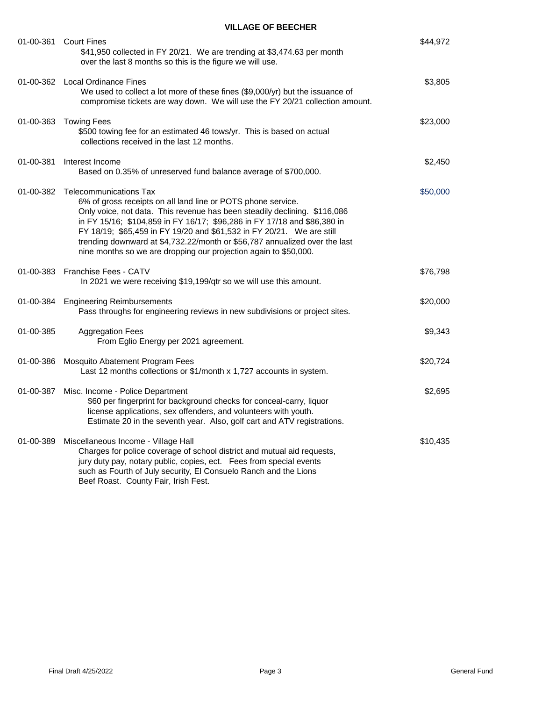|           | 01-00-361 Court Fines<br>\$41,950 collected in FY 20/21. We are trending at \$3,474.63 per month<br>over the last 8 months so this is the figure we will use.                                                                                                                                                                                                                                                                                                                        | \$44,972 |
|-----------|--------------------------------------------------------------------------------------------------------------------------------------------------------------------------------------------------------------------------------------------------------------------------------------------------------------------------------------------------------------------------------------------------------------------------------------------------------------------------------------|----------|
|           | 01-00-362 Local Ordinance Fines<br>We used to collect a lot more of these fines (\$9,000/yr) but the issuance of<br>compromise tickets are way down. We will use the FY 20/21 collection amount.                                                                                                                                                                                                                                                                                     | \$3,805  |
| 01-00-363 | <b>Towing Fees</b><br>\$500 towing fee for an estimated 46 tows/yr. This is based on actual<br>collections received in the last 12 months.                                                                                                                                                                                                                                                                                                                                           | \$23,000 |
| 01-00-381 | Interest Income<br>Based on 0.35% of unreserved fund balance average of \$700,000.                                                                                                                                                                                                                                                                                                                                                                                                   | \$2,450  |
|           | 01-00-382 Telecommunications Tax<br>6% of gross receipts on all land line or POTS phone service.<br>Only voice, not data. This revenue has been steadily declining. \$116,086<br>in FY 15/16; \$104,859 in FY 16/17; \$96,286 in FY 17/18 and \$86,380 in<br>FY 18/19; \$65,459 in FY 19/20 and \$61,532 in FY 20/21. We are still<br>trending downward at \$4,732.22/month or \$56,787 annualized over the last<br>nine months so we are dropping our projection again to \$50,000. | \$50,000 |
|           | 01-00-383 Franchise Fees - CATV<br>In 2021 we were receiving \$19,199/qtr so we will use this amount.                                                                                                                                                                                                                                                                                                                                                                                | \$76,798 |
| 01-00-384 | <b>Engineering Reimbursements</b><br>Pass throughs for engineering reviews in new subdivisions or project sites.                                                                                                                                                                                                                                                                                                                                                                     | \$20,000 |
| 01-00-385 | <b>Aggregation Fees</b><br>From Eglio Energy per 2021 agreement.                                                                                                                                                                                                                                                                                                                                                                                                                     | \$9,343  |
| 01-00-386 | Mosquito Abatement Program Fees<br>Last 12 months collections or \$1/month x 1,727 accounts in system.                                                                                                                                                                                                                                                                                                                                                                               | \$20,724 |
| 01-00-387 | Misc. Income - Police Department<br>\$60 per fingerprint for background checks for conceal-carry, liquor<br>license applications, sex offenders, and volunteers with youth.<br>Estimate 20 in the seventh year. Also, golf cart and ATV registrations.                                                                                                                                                                                                                               | \$2,695  |
|           | 01-00-389 Miscellaneous Income - Village Hall<br>Charges for police coverage of school district and mutual aid requests,<br>jury duty pay, notary public, copies, ect.  Fees from special events<br>such as Fourth of July security, El Consuelo Ranch and the Lions<br>Beef Roast. County Fair, Irish Fest.                                                                                                                                                                         | \$10,435 |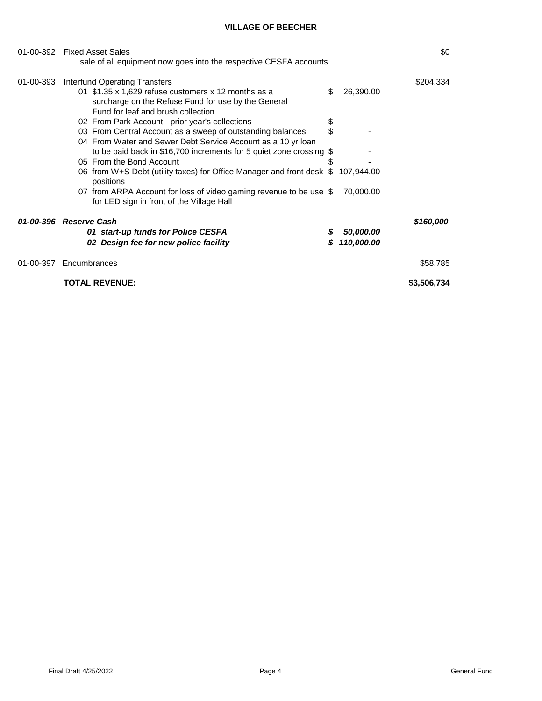|           | 01-00-392    Fixed Asset Sales<br>sale of all equipment now goes into the respective CESFA accounts.                                                                                     |          |                         |             |  |  |
|-----------|------------------------------------------------------------------------------------------------------------------------------------------------------------------------------------------|----------|-------------------------|-------------|--|--|
| 01-00-393 | Interfund Operating Transfers<br>01 $$1.35 \times 1,629$ refuse customers x 12 months as a<br>surcharge on the Refuse Fund for use by the General<br>Fund for leaf and brush collection. | \$       | 26,390.00               | \$204,334   |  |  |
|           | 02 From Park Account - prior year's collections<br>03 From Central Account as a sweep of outstanding balances<br>04 From Water and Sewer Debt Service Account as a 10 yr loan            | \$<br>\$ |                         |             |  |  |
|           | to be paid back in \$16,700 increments for 5 quiet zone crossing $$$<br>05 From the Bond Account<br>06 from W+S Debt (utility taxes) for Office Manager and front desk \$107,944.00      |          |                         |             |  |  |
|           | positions<br>07 from ARPA Account for loss of video gaming revenue to be use \$<br>for LED sign in front of the Village Hall                                                             |          | 70,000.00               |             |  |  |
|           | 01-00-396 Reserve Cash<br>01 start-up funds for Police CESFA<br>02 Design fee for new police facility                                                                                    | S<br>S   | 50,000.00<br>110,000.00 | \$160,000   |  |  |
|           | 01-00-397 Encumbrances                                                                                                                                                                   |          |                         | \$58,785    |  |  |
|           | <b>TOTAL REVENUE:</b>                                                                                                                                                                    |          |                         | \$3,506,734 |  |  |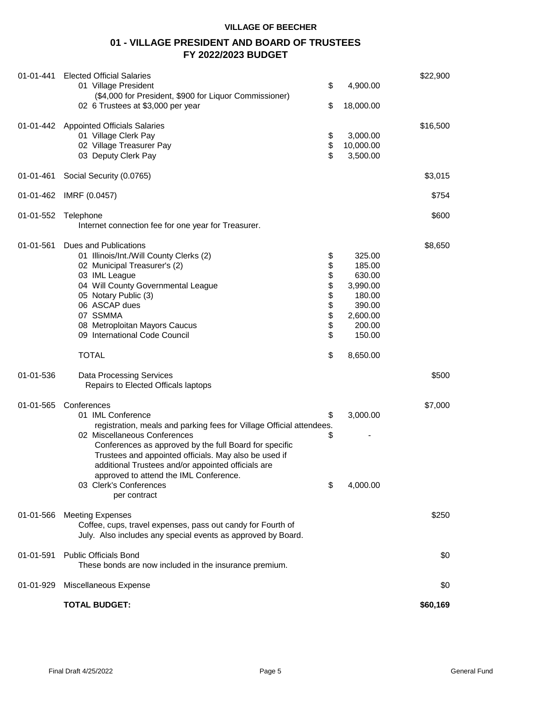# **01 - VILLAGE PRESIDENT AND BOARD OF TRUSTEES FY 2022/2023 BUDGET**

| 01-01-441 | <b>Elected Official Salaries</b><br>01 Village President<br>(\$4,000 for President, \$900 for Liquor Commissioner)                                                                                                                                                                                                                                                                                    | \$                                 | 4,900.00                                                                                   | \$22,900 |
|-----------|-------------------------------------------------------------------------------------------------------------------------------------------------------------------------------------------------------------------------------------------------------------------------------------------------------------------------------------------------------------------------------------------------------|------------------------------------|--------------------------------------------------------------------------------------------|----------|
|           | 02 6 Trustees at \$3,000 per year                                                                                                                                                                                                                                                                                                                                                                     | \$                                 | 18,000.00                                                                                  |          |
|           | 01-01-442 Appointed Officials Salaries<br>01 Village Clerk Pay<br>\$<br>02 Village Treasurer Pay<br>03 Deputy Clerk Pay                                                                                                                                                                                                                                                                               |                                    | 3,000.00<br>10,000.00<br>3,500.00                                                          | \$16,500 |
| 01-01-461 | Social Security (0.0765)                                                                                                                                                                                                                                                                                                                                                                              |                                    |                                                                                            | \$3,015  |
| 01-01-462 | IMRF (0.0457)                                                                                                                                                                                                                                                                                                                                                                                         |                                    |                                                                                            | \$754    |
| 01-01-552 | Telephone<br>Internet connection fee for one year for Treasurer.                                                                                                                                                                                                                                                                                                                                      |                                    |                                                                                            | \$600    |
| 01-01-561 | Dues and Publications<br>01 Illinois/Int./Will County Clerks (2)<br>02 Municipal Treasurer's (2)<br>03 IML League<br>04 Will County Governmental League<br>05 Notary Public (3)<br>06 ASCAP dues<br>07 SSMMA<br>08 Metroploitan Mayors Caucus<br>09 International Code Council                                                                                                                        | \$<br>\$<br>\$\$<br>\$<br>\$<br>\$ | 325.00<br>185.00<br>630.00<br>3,990.00<br>180.00<br>390.00<br>2,600.00<br>200.00<br>150.00 | \$8,650  |
|           | <b>TOTAL</b>                                                                                                                                                                                                                                                                                                                                                                                          | \$                                 | 8,650.00                                                                                   |          |
| 01-01-536 | <b>Data Processing Services</b><br>Repairs to Elected Officals laptops                                                                                                                                                                                                                                                                                                                                |                                    |                                                                                            | \$500    |
| 01-01-565 | Conferences<br>01 IML Conference<br>registration, meals and parking fees for Village Official attendees.<br>02 Miscellaneous Conferences<br>Conferences as approved by the full Board for specific<br>Trustees and appointed officials. May also be used if<br>additional Trustees and/or appointed officials are<br>approved to attend the IML Conference.<br>03 Clerk's Conferences<br>per contract | \$<br>S<br>\$                      | 3,000.00<br>4,000.00                                                                       | \$7,000  |
| 01-01-566 | <b>Meeting Expenses</b><br>Coffee, cups, travel expenses, pass out candy for Fourth of<br>July. Also includes any special events as approved by Board.                                                                                                                                                                                                                                                |                                    |                                                                                            | \$250    |
| 01-01-591 | <b>Public Officials Bond</b><br>These bonds are now included in the insurance premium.                                                                                                                                                                                                                                                                                                                |                                    |                                                                                            | \$0      |
| 01-01-929 | Miscellaneous Expense                                                                                                                                                                                                                                                                                                                                                                                 |                                    |                                                                                            | \$0      |
|           | <b>TOTAL BUDGET:</b>                                                                                                                                                                                                                                                                                                                                                                                  |                                    |                                                                                            | \$60,169 |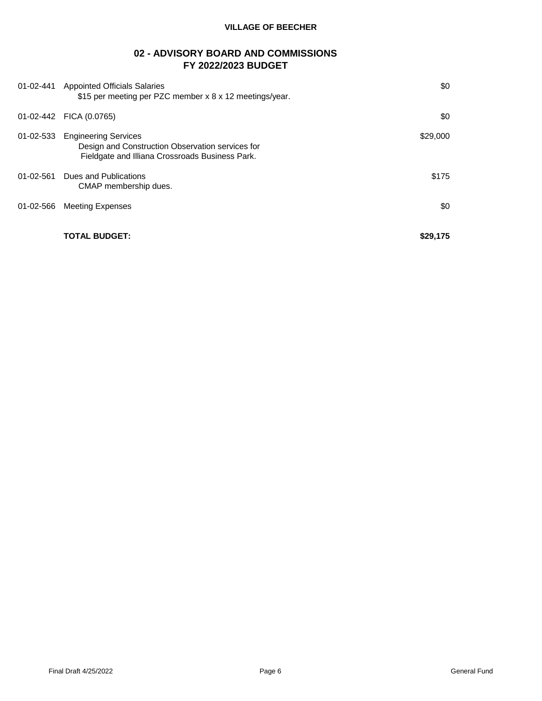# **02 - ADVISORY BOARD AND COMMISSIONS FY 2022/2023 BUDGET**

| 01-02-441       | <b>Appointed Officials Salaries</b><br>\$15 per meeting per PZC member x 8 x 12 meetings/year.                                     | \$0      |
|-----------------|------------------------------------------------------------------------------------------------------------------------------------|----------|
| 01-02-442       | FICA (0.0765)                                                                                                                      | \$0      |
| 01-02-533       | <b>Engineering Services</b><br>Design and Construction Observation services for<br>Fieldgate and Illiana Crossroads Business Park. | \$29,000 |
| $01 - 02 - 561$ | Dues and Publications<br>CMAP membership dues.                                                                                     | \$175    |
| 01-02-566       | <b>Meeting Expenses</b>                                                                                                            | \$0      |
|                 | TOTAL BUDGET:                                                                                                                      | \$29,175 |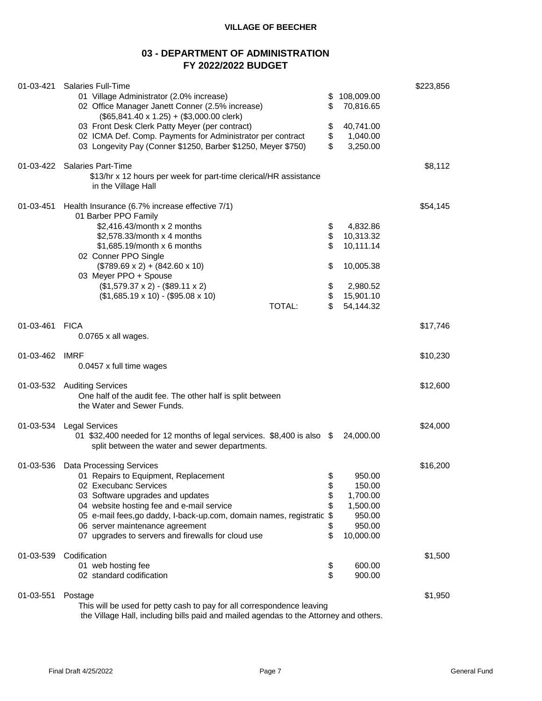# **03 - DEPARTMENT OF ADMINISTRATION FY 2022/2022 BUDGET**

| 01-03-421 | <b>Salaries Full-Time</b><br>01 Village Administrator (2.0% increase)<br>02 Office Manager Janett Conner (2.5% increase)<br>$($65,841.40 \times 1.25) + ($3,000.00 \text{ clerk})$<br>03 Front Desk Clerk Patty Meyer (per contract)<br>02 ICMA Def. Comp. Payments for Administrator per contract<br>03 Longevity Pay (Conner \$1250, Barber \$1250, Meyer \$750)               | \$223,856                              |                                                                                       |          |
|-----------|----------------------------------------------------------------------------------------------------------------------------------------------------------------------------------------------------------------------------------------------------------------------------------------------------------------------------------------------------------------------------------|----------------------------------------|---------------------------------------------------------------------------------------|----------|
|           | 01-03-422 Salaries Part-Time<br>\$13/hr x 12 hours per week for part-time clerical/HR assistance<br>in the Village Hall                                                                                                                                                                                                                                                          |                                        |                                                                                       | \$8,112  |
| 01-03-451 | Health Insurance (6.7% increase effective 7/1)<br>01 Barber PPO Family<br>\$2,416.43/month x 2 months<br>\$2,578.33/month x 4 months<br>\$1,685.19/month x 6 months<br>02 Conner PPO Single<br>$($789.69 \times 2) + ($42.60 \times 10)$<br>03 Meyer PPO + Spouse<br>$($1,579.37 \times 2) - ($89.11 \times 2)$<br>$($1,685.19 \times 10) - ($95.08 \times 10)$<br><b>TOTAL:</b> | \$<br>\$<br>\$<br>\$<br>\$<br>\$<br>\$ | 4,832.86<br>10,313.32<br>10,111.14<br>10,005.38<br>2,980.52<br>15,901.10<br>54,144.32 | \$54,145 |
| 01-03-461 | <b>FICA</b><br>$0.0765$ x all wages.                                                                                                                                                                                                                                                                                                                                             |                                        |                                                                                       | \$17,746 |
| 01-03-462 | <b>IMRF</b><br>0.0457 x full time wages                                                                                                                                                                                                                                                                                                                                          |                                        |                                                                                       | \$10,230 |
|           | 01-03-532 Auditing Services<br>One half of the audit fee. The other half is split between<br>the Water and Sewer Funds.                                                                                                                                                                                                                                                          |                                        |                                                                                       | \$12,600 |
| 01-03-534 | <b>Legal Services</b><br>01 \$32,400 needed for 12 months of legal services. \$8,400 is also \$<br>split between the water and sewer departments.                                                                                                                                                                                                                                |                                        | 24,000.00                                                                             | \$24,000 |
| 01-03-536 | <b>Data Processing Services</b><br>01 Repairs to Equipment, Replacement<br>02 Execubanc Services<br>03 Software upgrades and updates<br>04 website hosting fee and e-mail service<br>05 e-mail fees, go daddy, I-back-up.com, domain names, registratic<br>06 server maintenance agreement<br>07 upgrades to servers and firewalls for cloud use                                 | \$<br>\$<br>\$<br>\$<br>\$<br>\$       | 950.00<br>150.00<br>1,700.00<br>1,500.00<br>950.00<br>950.00<br>10,000.00             | \$16,200 |
| 01-03-539 | Codification<br>01 web hosting fee<br>02 standard codification                                                                                                                                                                                                                                                                                                                   | \$<br>\$                               | 600.00<br>900.00                                                                      | \$1,500  |
| 01-03-551 | Postage<br>This will be used for petty cash to pay for all correspondence leaving<br>the Village Hall, including bills paid and mailed agendas to the Attorney and others.                                                                                                                                                                                                       |                                        |                                                                                       | \$1,950  |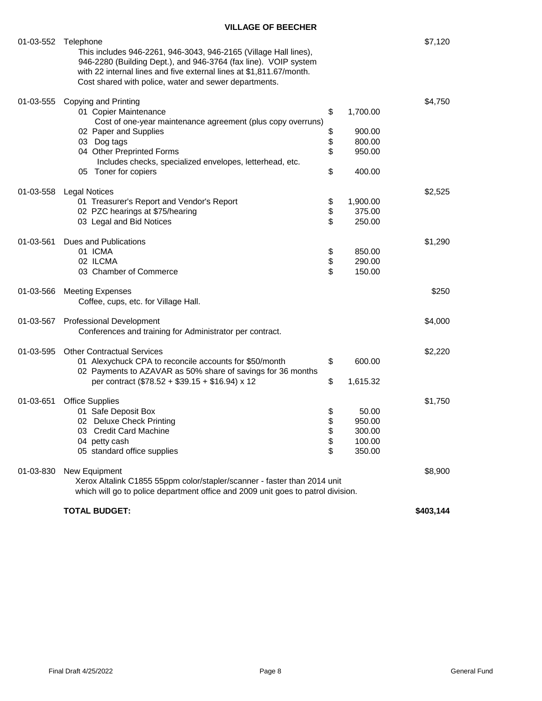| 01-03-552 | Telephone<br>This includes 946-2261, 946-3043, 946-2165 (Village Hall lines),<br>946-2280 (Building Dept.), and 946-3764 (fax line). VOIP system<br>with 22 internal lines and five external lines at \$1,811.67/month.<br>Cost shared with police, water and sewer departments. |                            |                                                  | \$7,120   |
|-----------|----------------------------------------------------------------------------------------------------------------------------------------------------------------------------------------------------------------------------------------------------------------------------------|----------------------------|--------------------------------------------------|-----------|
| 01-03-555 | Copying and Printing<br>01 Copier Maintenance<br>Cost of one-year maintenance agreement (plus copy overruns)<br>02 Paper and Supplies<br>03 Dog tags<br>04 Other Preprinted Forms<br>Includes checks, specialized envelopes, letterhead, etc.<br>05 Toner for copiers            | \$<br>\$<br>\$<br>\$<br>\$ | 1,700.00<br>900.00<br>800.00<br>950.00<br>400.00 | \$4,750   |
| 01-03-558 | <b>Legal Notices</b><br>01 Treasurer's Report and Vendor's Report<br>02 PZC hearings at \$75/hearing<br>03 Legal and Bid Notices                                                                                                                                                 | \$<br>\$<br>\$             | 1,900.00<br>375.00<br>250.00                     | \$2,525   |
| 01-03-561 | Dues and Publications<br>01 ICMA<br>02 ILCMA<br>03 Chamber of Commerce                                                                                                                                                                                                           | \$<br>\$<br>\$             | 850.00<br>290.00<br>150.00                       | \$1,290   |
| 01-03-566 | <b>Meeting Expenses</b><br>Coffee, cups, etc. for Village Hall.                                                                                                                                                                                                                  |                            |                                                  | \$250     |
| 01-03-567 | <b>Professional Development</b><br>Conferences and training for Administrator per contract.                                                                                                                                                                                      |                            |                                                  | \$4,000   |
| 01-03-595 | <b>Other Contractual Services</b><br>01 Alexychuck CPA to reconcile accounts for \$50/month<br>02 Payments to AZAVAR as 50% share of savings for 36 months<br>per contract $(\$78.52 + \$39.15 + \$16.94) \times 12$                                                             | \$<br>\$                   | 600.00<br>1,615.32                               | \$2,220   |
| 01-03-651 | <b>Office Supplies</b><br>01 Safe Deposit Box<br>02 Deluxe Check Printing<br>03 Credit Card Machine<br>04 petty cash<br>05 standard office supplies                                                                                                                              | \$<br>\$<br>\$<br>\$<br>\$ | 50.00<br>950.00<br>300.00<br>100.00<br>350.00    | \$1,750   |
| 01-03-830 | New Equipment<br>Xerox Altalink C1855 55ppm color/stapler/scanner - faster than 2014 unit<br>which will go to police department office and 2009 unit goes to patrol division.                                                                                                    |                            |                                                  | \$8,900   |
|           | <b>TOTAL BUDGET:</b>                                                                                                                                                                                                                                                             |                            |                                                  | \$403,144 |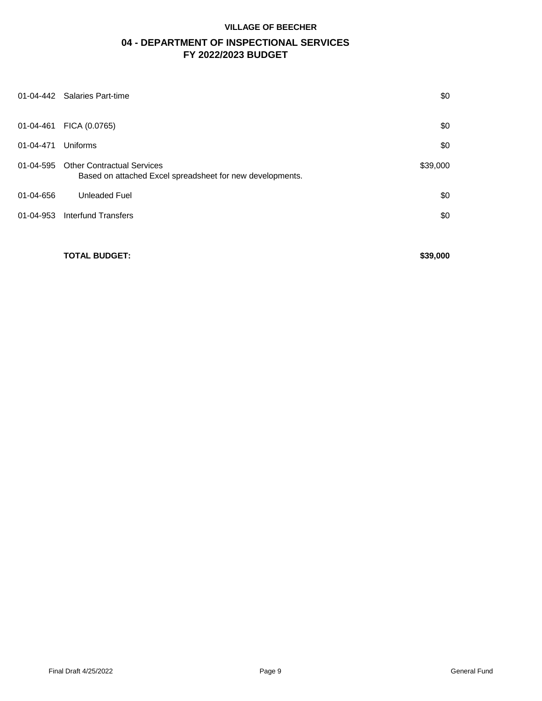# **04 - DEPARTMENT OF INSPECTIONAL SERVICES FY 2022/2023 BUDGET**

| 01-04-442 | <b>Salaries Part-time</b>                                                                      | \$0      |
|-----------|------------------------------------------------------------------------------------------------|----------|
| 01-04-461 | FICA (0.0765)                                                                                  | \$0      |
| 01-04-471 | Uniforms                                                                                       | \$0      |
| 01-04-595 | <b>Other Contractual Services</b><br>Based on attached Excel spreadsheet for new developments. | \$39,000 |
| 01-04-656 | <b>Unleaded Fuel</b>                                                                           | \$0      |
| 01-04-953 | Interfund Transfers                                                                            | \$0      |
|           |                                                                                                |          |

**TOTAL BUDGET:** \$39,000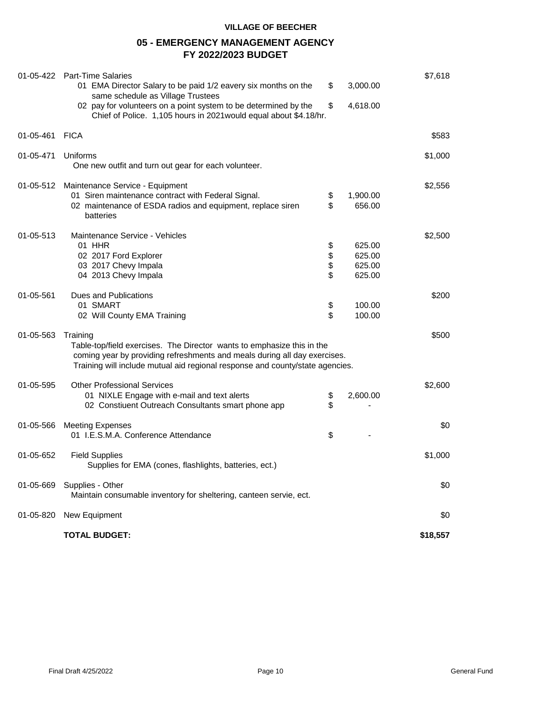# **05 - EMERGENCY MANAGEMENT AGENCY FY 2022/2023 BUDGET**

|           | 01-05-422 Part-Time Salaries<br>01 EMA Director Salary to be paid 1/2 eavery six months on the<br>same schedule as Village Trustees<br>02 pay for volunteers on a point system to be determined by the<br>Chief of Police. 1,105 hours in 2021 would equal about \$4.18/hr. | \$<br>\$             | 3,000.00<br>4,618.00                 | \$7,618  |
|-----------|-----------------------------------------------------------------------------------------------------------------------------------------------------------------------------------------------------------------------------------------------------------------------------|----------------------|--------------------------------------|----------|
| 01-05-461 | <b>FICA</b>                                                                                                                                                                                                                                                                 |                      |                                      | \$583    |
| 01-05-471 | Uniforms<br>One new outfit and turn out gear for each volunteer.                                                                                                                                                                                                            |                      |                                      | \$1,000  |
| 01-05-512 | Maintenance Service - Equipment<br>01 Siren maintenance contract with Federal Signal.<br>02 maintenance of ESDA radios and equipment, replace siren<br>batteries                                                                                                            | \$<br>\$             | 1,900.00<br>656.00                   | \$2,556  |
| 01-05-513 | Maintenance Service - Vehicles<br>01 HHR<br>02 2017 Ford Explorer<br>03 2017 Chevy Impala<br>04 2013 Chevy Impala                                                                                                                                                           | \$<br>\$<br>\$<br>\$ | 625.00<br>625.00<br>625.00<br>625.00 | \$2,500  |
| 01-05-561 | Dues and Publications<br>01 SMART<br>02 Will County EMA Training                                                                                                                                                                                                            | \$<br>\$             | 100.00<br>100.00                     | \$200    |
| 01-05-563 | Training<br>Table-top/field exercises. The Director wants to emphasize this in the<br>coming year by providing refreshments and meals during all day exercises.<br>Training will include mutual aid regional response and county/state agencies.                            |                      |                                      | \$500    |
| 01-05-595 | <b>Other Professional Services</b><br>01 NIXLE Engage with e-mail and text alerts<br>02 Constiuent Outreach Consultants smart phone app                                                                                                                                     | \$<br>\$             | 2,600.00                             | \$2,600  |
| 01-05-566 | <b>Meeting Expenses</b><br>01 I.E.S.M.A. Conference Attendance                                                                                                                                                                                                              | \$                   |                                      | \$0      |
| 01-05-652 | <b>Field Supplies</b><br>Supplies for EMA (cones, flashlights, batteries, ect.)                                                                                                                                                                                             |                      |                                      | \$1,000  |
| 01-05-669 | Supplies - Other<br>Maintain consumable inventory for sheltering, canteen servie, ect.                                                                                                                                                                                      |                      |                                      | \$0      |
| 01-05-820 | New Equipment                                                                                                                                                                                                                                                               |                      |                                      | \$0      |
|           | <b>TOTAL BUDGET:</b>                                                                                                                                                                                                                                                        |                      |                                      | \$18,557 |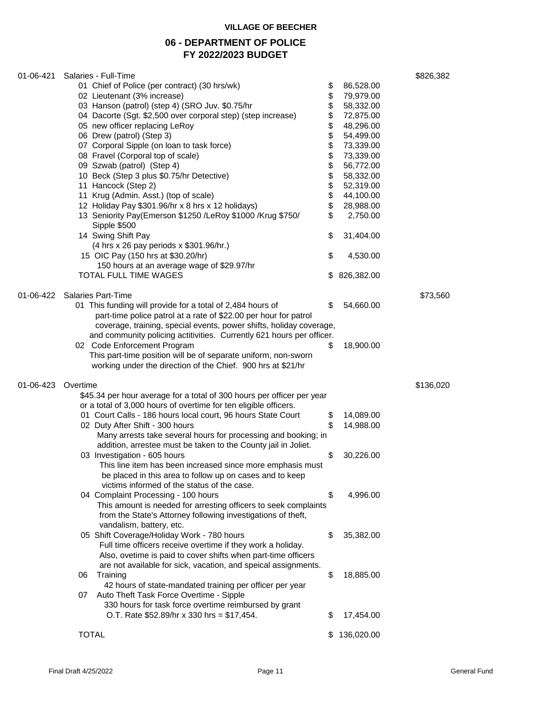# **06 - DEPARTMENT OF POLICE FY 2022/2023 BUDGET**

| 01-06-421 | Salaries - Full-Time                                                   |    |            | \$826,382 |
|-----------|------------------------------------------------------------------------|----|------------|-----------|
|           | 01 Chief of Police (per contract) (30 hrs/wk)                          | \$ | 86,528.00  |           |
|           | 02 Lieutenant (3% increase)                                            | \$ | 79,979.00  |           |
|           | 03 Hanson (patrol) (step 4) (SRO Juv. \$0.75/hr                        | \$ | 58,332.00  |           |
|           | 04 Dacorte (Sgt. \$2,500 over corporal step) (step increase)           | \$ | 72,875.00  |           |
|           | 05 new officer replacing LeRoy                                         | \$ | 48,296.00  |           |
|           | 06 Drew (patrol) (Step 3)                                              | \$ | 54,499.00  |           |
|           | 07 Corporal Sipple (on loan to task force)                             | \$ | 73,339.00  |           |
|           | 08 Fravel (Corporal top of scale)                                      | \$ | 73,339.00  |           |
|           | 09 Szwab (patrol) (Step 4)                                             | \$ | 56,772.00  |           |
|           | 10 Beck (Step 3 plus \$0.75/hr Detective)                              | \$ | 58,332.00  |           |
|           | 11 Hancock (Step 2)                                                    | \$ | 52,319.00  |           |
|           | 11 Krug (Admin. Asst.) (top of scale)                                  | \$ | 44,100.00  |           |
|           | 12 Holiday Pay \$301.96/hr x 8 hrs x 12 holidays)                      | \$ | 28,988.00  |           |
|           | 13 Seniority Pay(Emerson \$1250 /LeRoy \$1000 /Krug \$750/             | \$ | 2,750.00   |           |
|           |                                                                        |    |            |           |
|           | Sipple \$500                                                           |    |            |           |
|           | 14 Swing Shift Pay                                                     | \$ | 31,404.00  |           |
|           | (4 hrs x 26 pay periods x \$301.96/hr.)                                |    |            |           |
|           | 15 OIC Pay (150 hrs at \$30.20/hr)                                     | \$ | 4,530.00   |           |
|           | 150 hours at an average wage of \$29.97/hr                             |    |            |           |
|           | <b>TOTAL FULL TIME WAGES</b>                                           |    | 826,382.00 |           |
| 01-06-422 | <b>Salaries Part-Time</b>                                              |    |            | \$73,560  |
|           | 01 This funding will provide for a total of 2,484 hours of             | \$ | 54,660.00  |           |
|           | part-time police patrol at a rate of \$22.00 per hour for patrol       |    |            |           |
|           | coverage, training, special events, power shifts, holiday coverage,    |    |            |           |
|           | and community policing actitivities. Currently 621 hours per officer.  |    |            |           |
|           | 02 Code Enforcement Program                                            | \$ |            |           |
|           |                                                                        |    | 18,900.00  |           |
|           | This part-time position will be of separate uniform, non-sworn         |    |            |           |
|           | working under the direction of the Chief. 900 hrs at \$21/hr           |    |            |           |
| 01-06-423 | Overtime                                                               |    |            | \$136,020 |
|           | \$45.34 per hour average for a total of 300 hours per officer per year |    |            |           |
|           | or a total of 3,000 hours of overtime for ten eligible officers.       |    |            |           |
|           | 01 Court Calls - 186 hours local court, 96 hours State Court           | \$ | 14,089.00  |           |
|           | 02 Duty After Shift - 300 hours                                        | \$ | 14,988.00  |           |
|           | Many arrests take several hours for processing and booking; in         |    |            |           |
|           | addition, arrestee must be taken to the County jail in Joliet.         |    |            |           |
|           | 03 Investigation - 605 hours                                           | \$ | 30,226.00  |           |
|           | This line item has been increased since more emphasis must             |    |            |           |
|           |                                                                        |    |            |           |
|           | be placed in this area to follow up on cases and to keep               |    |            |           |
|           | victims informed of the status of the case.                            |    |            |           |
|           | 04 Complaint Processing - 100 hours                                    | \$ | 4,996.00   |           |
|           | This amount is needed for arresting officers to seek complaints        |    |            |           |
|           | from the State's Attorney following investigations of theft,           |    |            |           |
|           | vandalism, battery, etc.                                               |    |            |           |
|           | 05 Shift Coverage/Holiday Work - 780 hours                             | \$ | 35,382.00  |           |
|           | Full time officers receive overtime if they work a holiday.            |    |            |           |
|           | Also, ovetime is paid to cover shifts when part-time officers          |    |            |           |
|           | are not available for sick, vacation, and speical assignments.         |    |            |           |
|           | 06<br>Training                                                         | \$ | 18,885.00  |           |
|           | 42 hours of state-mandated training per officer per year               |    |            |           |
|           | Auto Theft Task Force Overtime - Sipple<br>07                          |    |            |           |
|           | 330 hours for task force overtime reimbursed by grant                  |    |            |           |
|           | O.T. Rate \$52.89/hr x 330 hrs = \$17,454.                             | \$ | 17,454.00  |           |
|           |                                                                        |    |            |           |
|           | <b>TOTAL</b>                                                           | S  | 136,020.00 |           |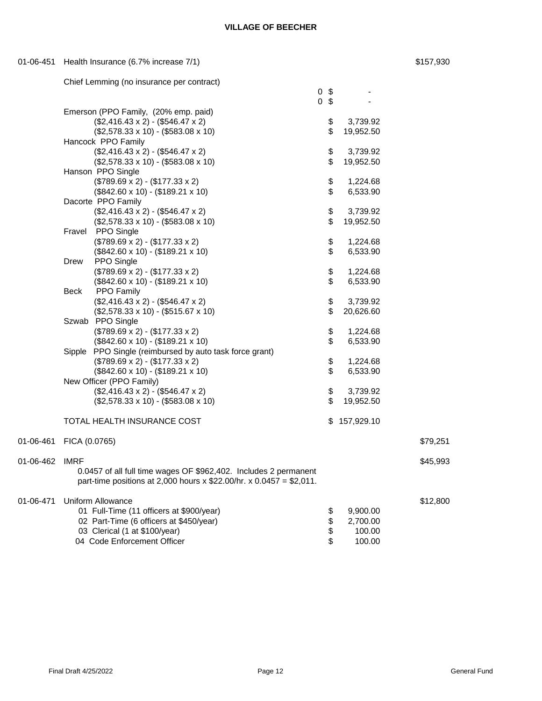0 \$ -

| 01-06-451 Health Insurance (6.7% increase 7/1) |  | \$157,930 |
|------------------------------------------------|--|-----------|
|                                                |  |           |

|  | Chief Lemming (no insurance per contract) |  |
|--|-------------------------------------------|--|
|  |                                           |  |

|                |                                                                      | 0 <sup>5</sup> |              |          |
|----------------|----------------------------------------------------------------------|----------------|--------------|----------|
|                | Emerson (PPO Family, (20% emp. paid)                                 |                |              |          |
|                | $($2,416.43 \times 2) - ($546.47 \times 2)$                          | \$             | 3,739.92     |          |
|                | $($2,578.33 \times 10) - ($583.08 \times 10)$                        | \$             | 19,952.50    |          |
|                | Hancock PPO Family                                                   |                |              |          |
|                | $($2,416.43 \times 2) - ($546.47 \times 2)$                          | \$             | 3,739.92     |          |
|                | $($2,578.33 \times 10) - ($583.08 \times 10)$                        | \$             | 19,952.50    |          |
|                | Hanson PPO Single                                                    |                |              |          |
|                | $($789.69 \times 2) - ($177.33 \times 2)$                            | \$             | 1,224.68     |          |
|                | $($842.60 \times 10) - ($189.21 \times 10)$                          | \$             | 6,533.90     |          |
|                | Dacorte PPO Family                                                   |                |              |          |
|                | $($2,416.43 \times 2) - ($546.47 \times 2)$                          | \$             | 3,739.92     |          |
|                | $($2,578.33 \times 10) - ($583.08 \times 10)$                        | \$             | 19,952.50    |          |
|                | Fravel PPO Single                                                    |                |              |          |
|                | $($789.69 \times 2) - ($177.33 \times 2)$                            | \$             | 1,224.68     |          |
|                | $($842.60 \times 10) - ($189.21 \times 10)$                          | \$             | 6,533.90     |          |
|                | PPO Single<br>Drew                                                   |                |              |          |
|                | $($789.69 \times 2) - ($177.33 \times 2)$                            | \$             | 1,224.68     |          |
|                | $($842.60 \times 10) - ($189.21 \times 10)$                          | \$             | 6,533.90     |          |
|                | <b>PPO Family</b><br>Beck                                            |                |              |          |
|                | $($2,416.43 \times 2) - ($546.47 \times 2)$                          | \$             | 3,739.92     |          |
|                | $($2,578.33 \times 10) - ($515.67 \times 10)$                        | \$             | 20,626.60    |          |
|                | Szwab PPO Single                                                     |                |              |          |
|                | $($789.69 \times 2) - ($177.33 \times 2)$                            | \$             | 1,224.68     |          |
|                | $($842.60 \times 10) - ($189.21 \times 10)$                          | \$             | 6,533.90     |          |
|                | Sipple PPO Single (reimbursed by auto task force grant)              |                |              |          |
|                | $($789.69 \times 2) - ($177.33 \times 2)$                            | \$             | 1,224.68     |          |
|                | $($842.60 \times 10) - ($189.21 \times 10)$                          | \$             | 6,533.90     |          |
|                | New Officer (PPO Family)                                             |                |              |          |
|                | $($2,416.43 \times 2) - ($546.47 \times 2)$                          | \$             | 3,739.92     |          |
|                | $($2,578.33 \times 10) - ($583.08 \times 10)$                        | \$             | 19,952.50    |          |
|                |                                                                      |                |              |          |
|                | TOTAL HEALTH INSURANCE COST                                          |                | \$157,929.10 |          |
|                |                                                                      |                |              |          |
|                | 01-06-461 FICA (0.0765)                                              |                |              | \$79,251 |
|                |                                                                      |                |              |          |
| 01-06-462 IMRF |                                                                      |                |              | \$45,993 |
|                | 0.0457 of all full time wages OF \$962,402. Includes 2 permanent     |                |              |          |
|                | part-time positions at 2,000 hours x $$22.00/hr. x 0.0457 = $2,011.$ |                |              |          |
|                |                                                                      |                |              |          |
| 01-06-471      | Uniform Allowance                                                    |                |              | \$12,800 |
|                | 01 Full-Time (11 officers at \$900/year)                             | \$             | 9,900.00     |          |
|                | 02 Part-Time (6 officers at \$450/year)                              | \$<br>\$       | 2,700.00     |          |
|                | 03 Clerical (1 at \$100/year)                                        | \$             | 100.00       |          |
|                | 04 Code Enforcement Officer                                          |                | 100.00       |          |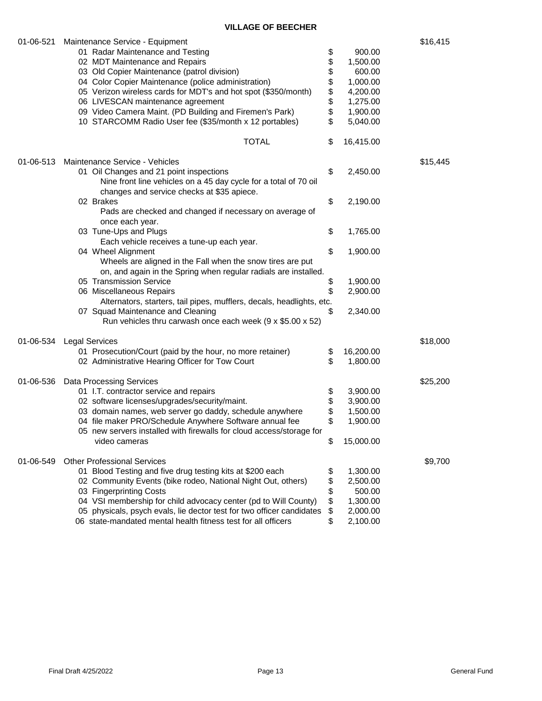| 01-06-521 | Maintenance Service - Equipment                                       |      |           | \$16,415 |
|-----------|-----------------------------------------------------------------------|------|-----------|----------|
|           | 01 Radar Maintenance and Testing                                      | \$   | 900.00    |          |
|           | 02 MDT Maintenance and Repairs                                        | \$   | 1,500.00  |          |
|           | 03 Old Copier Maintenance (patrol division)                           | \$   | 600.00    |          |
|           | 04 Color Copier Maintenance (police administration)                   | \$   | 1,000.00  |          |
|           | 05 Verizon wireless cards for MDT's and hot spot (\$350/month)        |      | 4,200.00  |          |
|           | 06 LIVESCAN maintenance agreement                                     |      | 1,275.00  |          |
|           |                                                                       | \$\$ |           |          |
|           | 09 Video Camera Maint. (PD Building and Firemen's Park)               |      | 1,900.00  |          |
|           | 10 STARCOMM Radio User fee (\$35/month x 12 portables)                | \$   | 5,040.00  |          |
|           | <b>TOTAL</b>                                                          | \$   | 16,415.00 |          |
| 01-06-513 | Maintenance Service - Vehicles                                        |      |           | \$15,445 |
|           | 01 Oil Changes and 21 point inspections                               | \$   | 2,450.00  |          |
|           | Nine front line vehicles on a 45 day cycle for a total of 70 oil      |      |           |          |
|           | changes and service checks at \$35 apiece.                            |      |           |          |
|           | 02 Brakes                                                             | \$   | 2,190.00  |          |
|           |                                                                       |      |           |          |
|           | Pads are checked and changed if necessary on average of               |      |           |          |
|           | once each year.                                                       |      |           |          |
|           | 03 Tune-Ups and Plugs                                                 | \$   | 1,765.00  |          |
|           | Each vehicle receives a tune-up each year.                            |      |           |          |
|           | 04 Wheel Alignment                                                    | \$   | 1,900.00  |          |
|           | Wheels are aligned in the Fall when the snow tires are put            |      |           |          |
|           | on, and again in the Spring when regular radials are installed.       |      |           |          |
|           | 05 Transmission Service                                               | \$   | 1,900.00  |          |
|           | 06 Miscellaneous Repairs                                              | \$   | 2,900.00  |          |
|           | Alternators, starters, tail pipes, mufflers, decals, headlights, etc. |      |           |          |
|           | 07 Squad Maintenance and Cleaning                                     | \$   | 2,340.00  |          |
|           | Run vehicles thru carwash once each week $(9 \times $5.00 \times 52)$ |      |           |          |
|           |                                                                       |      |           |          |
|           | 01-06-534 Legal Services                                              |      |           | \$18,000 |
|           | 01 Prosecution/Court (paid by the hour, no more retainer)             | \$   | 16,200.00 |          |
|           | 02 Administrative Hearing Officer for Tow Court                       | \$   | 1,800.00  |          |
| 01-06-536 | <b>Data Processing Services</b>                                       |      |           | \$25,200 |
|           | 01 I.T. contractor service and repairs                                | \$   | 3,900.00  |          |
|           | 02 software licenses/upgrades/security/maint.                         | \$   | 3,900.00  |          |
|           | 03 domain names, web server go daddy, schedule anywhere               | \$   | 1,500.00  |          |
|           | 04 file maker PRO/Schedule Anywhere Software annual fee               | \$   | 1,900.00  |          |
|           | 05 new servers installed with firewalls for cloud access/storage for  |      |           |          |
|           | video cameras                                                         | \$   | 15,000.00 |          |
|           |                                                                       |      |           |          |
| 01-06-549 | <b>Other Professional Services</b>                                    |      |           | \$9,700  |
|           | 01 Blood Testing and five drug testing kits at \$200 each             | \$   | 1,300.00  |          |
|           | 02 Community Events (bike rodeo, National Night Out, others)          | \$   | 2,500.00  |          |
|           | 03 Fingerprinting Costs                                               | \$   | 500.00    |          |
|           | 04 VSI membership for child advocacy center (pd to Will County)       | \$   | 1,300.00  |          |
|           | 05 physicals, psych evals, lie dector test for two officer candidates | \$   | 2,000.00  |          |
|           | 06 state-mandated mental health fitness test for all officers         | \$   | 2,100.00  |          |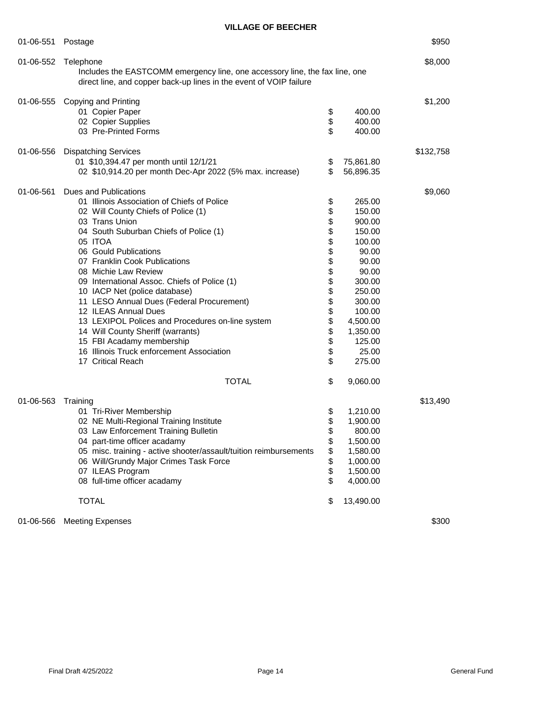| 01-06-551 | \$950<br>Postage                                                                                                                                                                                                                                                                                                                                                                                                                                                                                                                                                                                                          |                                                                                        |                                                                                                                                                                        |           |  |  |  |
|-----------|---------------------------------------------------------------------------------------------------------------------------------------------------------------------------------------------------------------------------------------------------------------------------------------------------------------------------------------------------------------------------------------------------------------------------------------------------------------------------------------------------------------------------------------------------------------------------------------------------------------------------|----------------------------------------------------------------------------------------|------------------------------------------------------------------------------------------------------------------------------------------------------------------------|-----------|--|--|--|
| 01-06-552 | Telephone<br>direct line, and copper back-up lines in the event of VOIP failure                                                                                                                                                                                                                                                                                                                                                                                                                                                                                                                                           | \$8,000<br>Includes the EASTCOMM emergency line, one accessory line, the fax line, one |                                                                                                                                                                        |           |  |  |  |
| 01-06-555 | <b>Copying and Printing</b><br>01 Copier Paper<br>02 Copier Supplies<br>03 Pre-Printed Forms                                                                                                                                                                                                                                                                                                                                                                                                                                                                                                                              | \$<br>\$<br>\$                                                                         | 400.00<br>400.00<br>400.00                                                                                                                                             | \$1,200   |  |  |  |
| 01-06-556 | <b>Dispatching Services</b><br>01 \$10,394.47 per month until 12/1/21<br>02 \$10,914.20 per month Dec-Apr 2022 (5% max. increase)                                                                                                                                                                                                                                                                                                                                                                                                                                                                                         | \$<br>\$                                                                               | 75,861.80<br>56,896.35                                                                                                                                                 | \$132,758 |  |  |  |
| 01-06-561 | <b>Dues and Publications</b><br>01 Illinois Association of Chiefs of Police<br>02 Will County Chiefs of Police (1)<br>03 Trans Union<br>04 South Suburban Chiefs of Police (1)<br>05 ITOA<br>06 Gould Publications<br>07 Franklin Cook Publications<br>08 Michie Law Review<br>09 International Assoc. Chiefs of Police (1)<br>10 IACP Net (police database)<br>11 LESO Annual Dues (Federal Procurement)<br>12 ILEAS Annual Dues<br>13 LEXIPOL Polices and Procedures on-line system<br>14 Will County Sheriff (warrants)<br>15 FBI Acadamy membership<br>16 Illinois Truck enforcement Association<br>17 Critical Reach | \$<br>\$<br>\$<br>\$<br>\$<br>\$\$\$\$\$\$\$<br>\$\$<br>\$<br>\$<br>\$                 | 265.00<br>150.00<br>900.00<br>150.00<br>100.00<br>90.00<br>90.00<br>90.00<br>300.00<br>250.00<br>300.00<br>100.00<br>4,500.00<br>1,350.00<br>125.00<br>25.00<br>275.00 | \$9,060   |  |  |  |
| 01-06-563 | <b>TOTAL</b><br>Training<br>01 Tri-River Membership<br>02 NE Multi-Regional Training Institute<br>03 Law Enforcement Training Bulletin<br>04 part-time officer acadamy<br>05 misc. training - active shooter/assault/tuition reimbursements<br>06 Will/Grundy Major Crimes Task Force<br>07 ILEAS Program<br>08 full-time officer acadamy<br><b>TOTAL</b>                                                                                                                                                                                                                                                                 | \$<br>\$<br>\$<br>\$<br>\$<br>\$<br>\$<br>\$<br>\$<br>\$                               | 9,060.00<br>1,210.00<br>1,900.00<br>800.00<br>1,500.00<br>1,580.00<br>1,000.00<br>1,500.00<br>4,000.00<br>13,490.00                                                    | \$13,490  |  |  |  |
| 01-06-566 | <b>Meeting Expenses</b>                                                                                                                                                                                                                                                                                                                                                                                                                                                                                                                                                                                                   |                                                                                        |                                                                                                                                                                        | \$300     |  |  |  |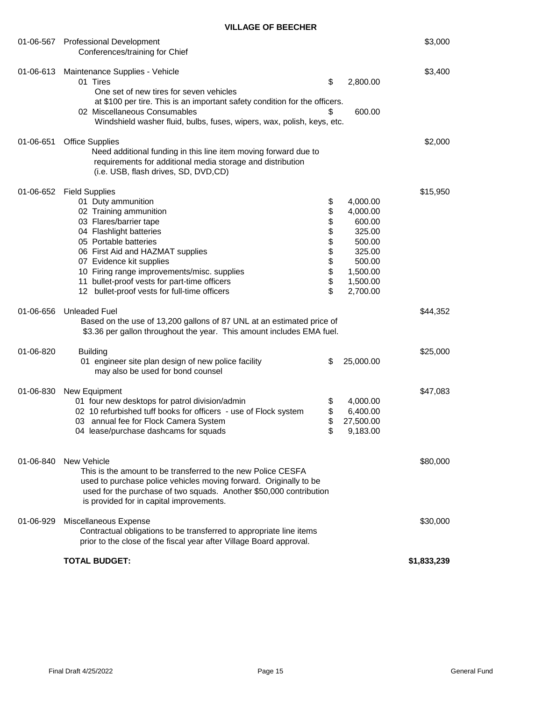|           | 01-06-567 Professional Development<br>Conferences/training for Chief                                                                                                                                                                                                                                                                                                  |                                                          |                                                                                                            | \$3,000     |
|-----------|-----------------------------------------------------------------------------------------------------------------------------------------------------------------------------------------------------------------------------------------------------------------------------------------------------------------------------------------------------------------------|----------------------------------------------------------|------------------------------------------------------------------------------------------------------------|-------------|
| 01-06-613 | Maintenance Supplies - Vehicle<br>01 Tires<br>One set of new tires for seven vehicles<br>at \$100 per tire. This is an important safety condition for the officers.<br>02 Miscellaneous Consumables<br>Windshield washer fluid, bulbs, fuses, wipers, wax, polish, keys, etc.                                                                                         | \$<br>\$                                                 | 2,800.00<br>600.00                                                                                         | \$3,400     |
| 01-06-651 | <b>Office Supplies</b><br>Need additional funding in this line item moving forward due to<br>requirements for additional media storage and distribution<br>(i.e. USB, flash drives, SD, DVD,CD)                                                                                                                                                                       |                                                          |                                                                                                            | \$2,000     |
|           | 01-06-652 Field Supplies<br>01 Duty ammunition<br>02 Training ammunition<br>03 Flares/barrier tape<br>04 Flashlight batteries<br>05 Portable batteries<br>06 First Aid and HAZMAT supplies<br>07 Evidence kit supplies<br>10 Firing range improvements/misc. supplies<br>11 bullet-proof vests for part-time officers<br>12 bullet-proof vests for full-time officers | \$<br>\$<br>\$<br>\$<br>\$<br>\$<br>\$<br>\$<br>\$<br>\$ | 4,000.00<br>4,000.00<br>600.00<br>325.00<br>500.00<br>325.00<br>500.00<br>1,500.00<br>1,500.00<br>2,700.00 | \$15,950    |
| 01-06-656 | <b>Unleaded Fuel</b><br>Based on the use of 13,200 gallons of 87 UNL at an estimated price of<br>\$3.36 per gallon throughout the year. This amount includes EMA fuel.                                                                                                                                                                                                |                                                          |                                                                                                            | \$44,352    |
| 01-06-820 | <b>Building</b><br>01 engineer site plan design of new police facility<br>may also be used for bond counsel                                                                                                                                                                                                                                                           | \$                                                       | 25,000.00                                                                                                  | \$25,000    |
| 01-06-830 | New Equipment<br>01 four new desktops for patrol division/admin<br>02 10 refurbished tuff books for officers - use of Flock system<br>03 annual fee for Flock Camera System<br>04 lease/purchase dashcams for squads                                                                                                                                                  | \$<br>\$<br>\$                                           | 4,000.00<br>6,400.00<br>27,500.00<br>9,183.00                                                              | \$47,083    |
| 01-06-840 | <b>New Vehicle</b><br>This is the amount to be transferred to the new Police CESFA<br>used to purchase police vehicles moving forward. Originally to be<br>used for the purchase of two squads. Another \$50,000 contribution<br>is provided for in capital improvements.                                                                                             |                                                          |                                                                                                            | \$80,000    |
| 01-06-929 | Miscellaneous Expense<br>Contractual obligations to be transferred to appropriate line items<br>prior to the close of the fiscal year after Village Board approval.                                                                                                                                                                                                   |                                                          |                                                                                                            | \$30,000    |
|           | <b>TOTAL BUDGET:</b>                                                                                                                                                                                                                                                                                                                                                  |                                                          |                                                                                                            | \$1,833,239 |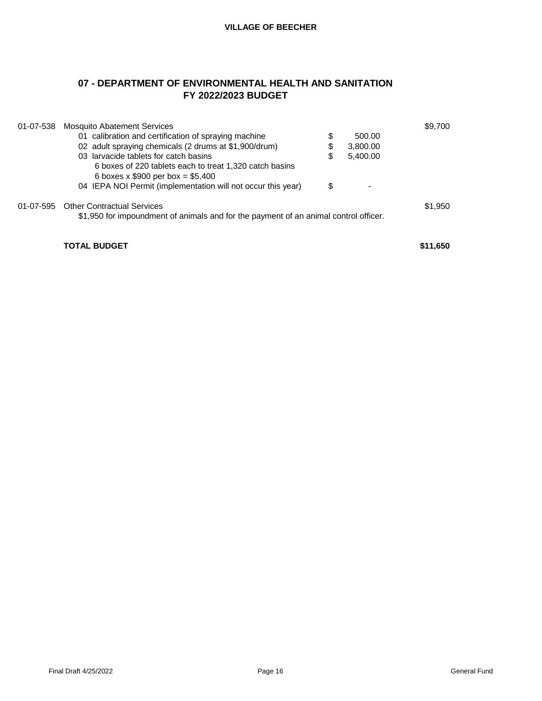# **07 - DEPARTMENT OF ENVIRONMENTAL HEALTH AND SANITATION FY 2022/2023 BUDGET**

| 01-07-538 | <b>Mosquito Abatement Services</b>                                                   |                | \$9,700  |
|-----------|--------------------------------------------------------------------------------------|----------------|----------|
|           | 01 calibration and certification of spraying machine                                 | \$<br>500.00   |          |
|           | 02 adult spraying chemicals (2 drums at \$1,900/drum)                                | \$<br>3,800.00 |          |
|           | 03 larvacide tablets for catch basins                                                | \$<br>5,400.00 |          |
|           | 6 boxes of 220 tablets each to treat 1,320 catch basins                              |                |          |
|           | 6 boxes x $$900$ per box = \$5,400                                                   |                |          |
|           | 04 IEPA NOI Permit (implementation will not occur this year)                         | \$             |          |
|           | 01-07-595 Other Contractual Services                                                 |                | \$1,950  |
|           | \$1,950 for impoundment of animals and for the payment of an animal control officer. |                |          |
|           |                                                                                      |                |          |
|           | <b>TOTAL BUDGET</b>                                                                  |                | \$11,650 |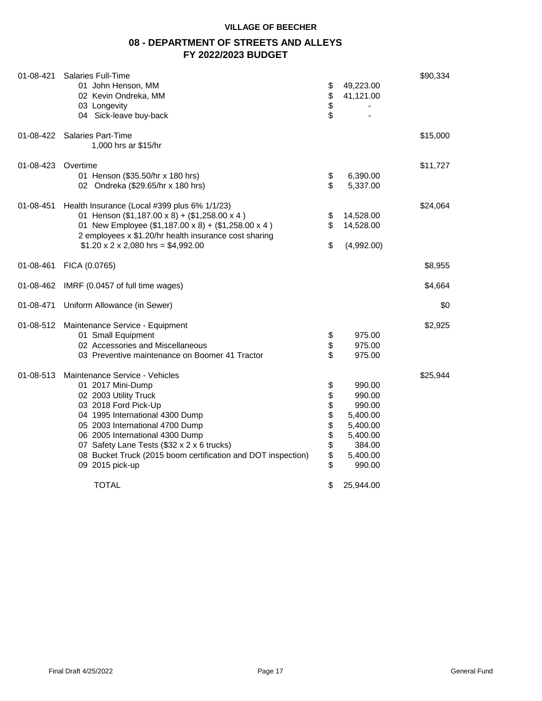# **08 - DEPARTMENT OF STREETS AND ALLEYS FY 2022/2023 BUDGET**

| 01-08-421 | Salaries Full-Time<br>01 John Henson, MM<br>02 Kevin Ondreka, MM<br>03 Longevity<br>04 Sick-leave buy-back                                                                                                                                                                                                                                                     | \$<br>\$<br>\$<br>\$                           | 49,223.00<br>41,121.00                                                                                      | \$90,334 |
|-----------|----------------------------------------------------------------------------------------------------------------------------------------------------------------------------------------------------------------------------------------------------------------------------------------------------------------------------------------------------------------|------------------------------------------------|-------------------------------------------------------------------------------------------------------------|----------|
| 01-08-422 | Salaries Part-Time<br>1,000 hrs ar \$15/hr                                                                                                                                                                                                                                                                                                                     |                                                |                                                                                                             | \$15,000 |
| 01-08-423 | Overtime<br>01 Henson (\$35.50/hr x 180 hrs)<br>02 Ondreka (\$29.65/hr x 180 hrs)                                                                                                                                                                                                                                                                              | \$<br>\$                                       | 6,390.00<br>5,337.00                                                                                        | \$11,727 |
| 01-08-451 | Health Insurance (Local #399 plus 6% 1/1/23)<br>01 Henson (\$1,187.00 x 8) + (\$1,258.00 x 4)<br>01 New Employee (\$1,187.00 x 8) + (\$1,258.00 x 4)<br>2 employees x \$1.20/hr health insurance cost sharing<br>$$1.20 \times 2 \times 2,080$ hrs = \$4,992.00                                                                                                | \$<br>\$<br>\$                                 | 14,528.00<br>14,528.00<br>(4,992.00)                                                                        | \$24,064 |
| 01-08-461 | FICA (0.0765)                                                                                                                                                                                                                                                                                                                                                  |                                                |                                                                                                             | \$8,955  |
| 01-08-462 | IMRF (0.0457 of full time wages)                                                                                                                                                                                                                                                                                                                               |                                                |                                                                                                             | \$4,664  |
| 01-08-471 | Uniform Allowance (in Sewer)                                                                                                                                                                                                                                                                                                                                   |                                                |                                                                                                             | \$0      |
| 01-08-512 | Maintenance Service - Equipment<br>01 Small Equipment<br>02 Accessories and Miscellaneous<br>03 Preventive maintenance on Boomer 41 Tractor                                                                                                                                                                                                                    | \$<br>\$<br>\$                                 | 975.00<br>975.00<br>975.00                                                                                  | \$2,925  |
| 01-08-513 | Maintenance Service - Vehicles<br>01 2017 Mini-Dump<br>02 2003 Utility Truck<br>03 2018 Ford Pick-Up<br>04 1995 International 4300 Dump<br>05 2003 International 4700 Dump<br>06 2005 International 4300 Dump<br>07 Safety Lane Tests (\$32 x 2 x 6 trucks)<br>08 Bucket Truck (2015 boom certification and DOT inspection)<br>09 2015 pick-up<br><b>TOTAL</b> | \$<br>\$<br>\$\$<br>\$<br>\$<br>\$<br>\$<br>\$ | 990.00<br>990.00<br>990.00<br>5,400.00<br>5,400.00<br>5,400.00<br>384.00<br>5,400.00<br>990.00<br>25,944.00 | \$25,944 |
|           |                                                                                                                                                                                                                                                                                                                                                                |                                                |                                                                                                             |          |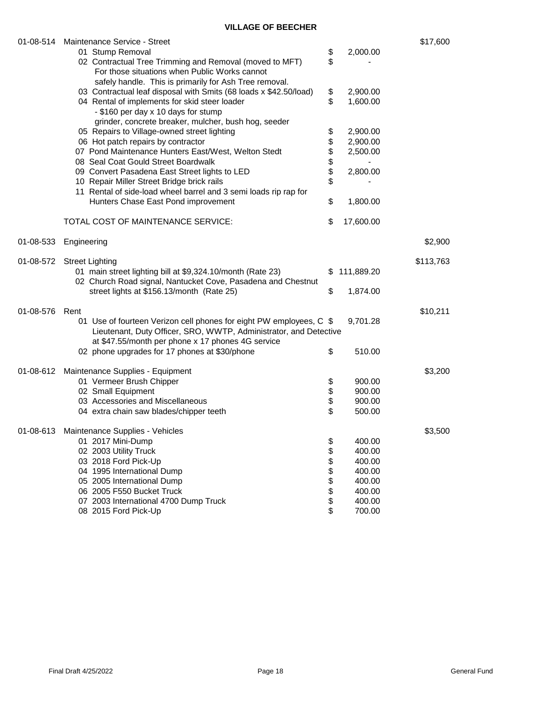|           | 01-08-514 Maintenance Service - Street                              |              |            | \$17,600  |
|-----------|---------------------------------------------------------------------|--------------|------------|-----------|
|           | 01 Stump Removal                                                    | \$           | 2,000.00   |           |
|           | 02 Contractual Tree Trimming and Removal (moved to MFT)             | \$           |            |           |
|           | For those situations when Public Works cannot                       |              |            |           |
|           | safely handle. This is primarily for Ash Tree removal.              |              |            |           |
|           | 03 Contractual leaf disposal with Smits (68 loads x \$42.50/load)   | \$           | 2,900.00   |           |
|           | 04 Rental of implements for skid steer loader                       | \$           | 1,600.00   |           |
|           | - \$160 per day x 10 days for stump                                 |              |            |           |
|           | grinder, concrete breaker, mulcher, bush hog, seeder                |              |            |           |
|           | 05 Repairs to Village-owned street lighting                         | \$           | 2,900.00   |           |
|           | 06 Hot patch repairs by contractor                                  |              | 2,900.00   |           |
|           | 07 Pond Maintenance Hunters East/West, Welton Stedt                 | <b>88888</b> | 2,500.00   |           |
|           | 08 Seal Coat Gould Street Boardwalk                                 |              |            |           |
|           | 09 Convert Pasadena East Street lights to LED                       |              | 2,800.00   |           |
|           | 10 Repair Miller Street Bridge brick rails                          |              |            |           |
|           | 11 Rental of side-load wheel barrel and 3 semi loads rip rap for    |              |            |           |
|           | Hunters Chase East Pond improvement                                 | \$           | 1,800.00   |           |
|           |                                                                     |              |            |           |
|           | TOTAL COST OF MAINTENANCE SERVICE:                                  | \$           | 17,600.00  |           |
|           |                                                                     |              |            |           |
| 01-08-533 | Engineering                                                         |              |            | \$2,900   |
|           |                                                                     |              |            |           |
| 01-08-572 | <b>Street Lighting</b>                                              |              |            | \$113,763 |
|           | 01 main street lighting bill at \$9,324.10/month (Rate 23)          | \$           | 111,889.20 |           |
|           | 02 Church Road signal, Nantucket Cove, Pasadena and Chestnut        |              |            |           |
|           | street lights at \$156.13/month (Rate 25)                           | \$           | 1,874.00   |           |
|           |                                                                     |              |            |           |
| 01-08-576 | Rent                                                                |              | 9,701.28   | \$10,211  |
|           | 01 Use of fourteen Verizon cell phones for eight PW employees, C \$ |              |            |           |
|           | Lieutenant, Duty Officer, SRO, WWTP, Administrator, and Detective   |              |            |           |
|           | at \$47.55/month per phone x 17 phones 4G service                   |              |            |           |
|           | 02 phone upgrades for 17 phones at \$30/phone                       | \$           | 510.00     |           |
|           | 01-08-612 Maintenance Supplies - Equipment                          |              |            | \$3,200   |
|           | 01 Vermeer Brush Chipper                                            | \$           | 900.00     |           |
|           | 02 Small Equipment                                                  |              | 900.00     |           |
|           | 03 Accessories and Miscellaneous                                    | \$<br>\$     | 900.00     |           |
|           | 04 extra chain saw blades/chipper teeth                             | \$           | 500.00     |           |
|           |                                                                     |              |            |           |
|           | 01-08-613 Maintenance Supplies - Vehicles                           |              |            | \$3,500   |
|           | 01 2017 Mini-Dump                                                   | \$           | 400.00     |           |
|           | 02 2003 Utility Truck                                               | \$           | 400.00     |           |
|           | 03 2018 Ford Pick-Up                                                | \$           | 400.00     |           |
|           | 04 1995 International Dump                                          | \$           | 400.00     |           |
|           | 05 2005 International Dump                                          | \$           | 400.00     |           |
|           | 06 2005 F550 Bucket Truck                                           | \$           | 400.00     |           |
|           | 07 2003 International 4700 Dump Truck                               | \$           | 400.00     |           |
|           | 08 2015 Ford Pick-Up                                                | \$           | 700.00     |           |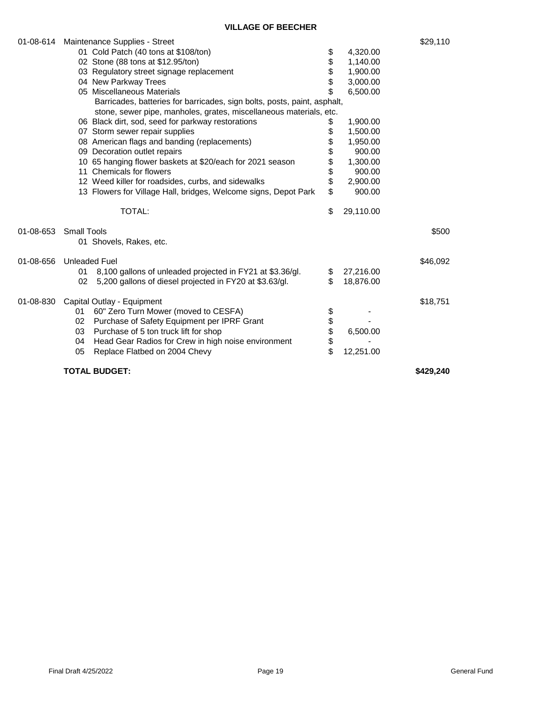| 01-08-614 |                                          | Maintenance Supplies - Street                                                                                                                  |                 | \$29,110  |
|-----------|------------------------------------------|------------------------------------------------------------------------------------------------------------------------------------------------|-----------------|-----------|
|           |                                          | 01 Cold Patch (40 tons at \$108/ton)                                                                                                           | \$<br>4,320.00  |           |
|           |                                          | 02 Stone (88 tons at \$12.95/ton)                                                                                                              | \$<br>1,140.00  |           |
|           | 03 Regulatory street signage replacement |                                                                                                                                                | \$<br>1,900.00  |           |
|           |                                          | 04 New Parkway Trees                                                                                                                           | \$<br>3,000.00  |           |
|           |                                          | 05 Miscellaneous Materials                                                                                                                     | \$<br>6,500.00  |           |
|           |                                          | Barricades, batteries for barricades, sign bolts, posts, paint, asphalt,<br>stone, sewer pipe, manholes, grates, miscellaneous materials, etc. |                 |           |
|           |                                          |                                                                                                                                                |                 |           |
|           |                                          | 06 Black dirt, sod, seed for parkway restorations                                                                                              | \$<br>1,900.00  |           |
|           |                                          | 07 Storm sewer repair supplies                                                                                                                 | \$<br>1,500.00  |           |
|           |                                          | 08 American flags and banding (replacements)                                                                                                   | \$<br>1,950.00  |           |
|           |                                          | 09 Decoration outlet repairs                                                                                                                   | \$<br>900.00    |           |
|           |                                          | 10 65 hanging flower baskets at \$20/each for 2021 season                                                                                      | \$<br>1,300.00  |           |
|           |                                          | 11 Chemicals for flowers                                                                                                                       | \$<br>900.00    |           |
|           |                                          | 12 Weed killer for roadsides, curbs, and sidewalks                                                                                             | \$<br>2,900.00  |           |
|           |                                          | 13 Flowers for Village Hall, bridges, Welcome signs, Depot Park                                                                                | \$<br>900.00    |           |
|           |                                          | TOTAL:                                                                                                                                         | \$<br>29,110.00 |           |
| 01-08-653 | <b>Small Tools</b>                       |                                                                                                                                                |                 | \$500     |
|           |                                          | 01 Shovels, Rakes, etc.                                                                                                                        |                 |           |
| 01-08-656 |                                          | <b>Unleaded Fuel</b>                                                                                                                           |                 | \$46,092  |
|           | 01                                       | 8,100 gallons of unleaded projected in FY21 at \$3.36/gl.                                                                                      | \$<br>27,216.00 |           |
|           | 02                                       | 5,200 gallons of diesel projected in FY20 at \$3.63/gl.                                                                                        | \$<br>18,876.00 |           |
| 01-08-830 |                                          | Capital Outlay - Equipment                                                                                                                     |                 | \$18,751  |
|           | 01                                       | 60" Zero Turn Mower (moved to CESFA)                                                                                                           | \$              |           |
|           | 02                                       | Purchase of Safety Equipment per IPRF Grant                                                                                                    | \$              |           |
|           | 03                                       | Purchase of 5 ton truck lift for shop                                                                                                          | \$<br>6,500.00  |           |
|           | 04                                       | Head Gear Radios for Crew in high noise environment                                                                                            | \$              |           |
|           | 05                                       | Replace Flatbed on 2004 Chevy                                                                                                                  | \$<br>12,251.00 |           |
|           |                                          |                                                                                                                                                |                 |           |
|           |                                          | <b>TOTAL BUDGET:</b>                                                                                                                           |                 | \$429.240 |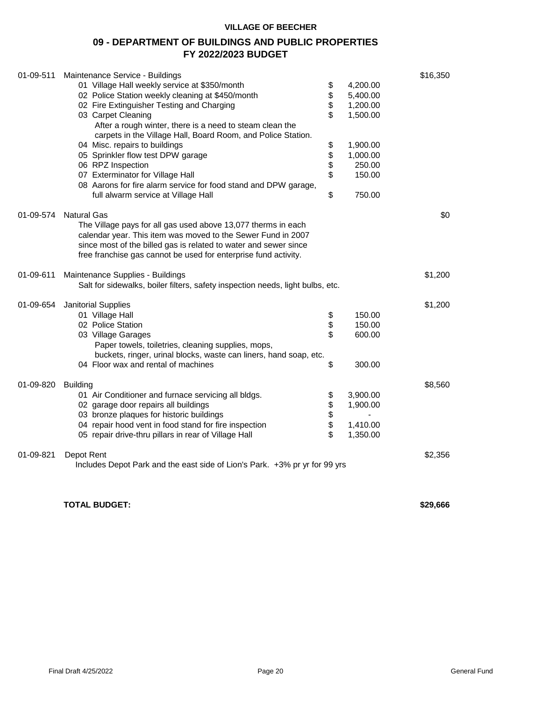# **09 - DEPARTMENT OF BUILDINGS AND PUBLIC PROPERTIES FY 2022/2023 BUDGET**

| 01-09-511 | Maintenance Service - Buildings                                                |        |               | \$16,350 |
|-----------|--------------------------------------------------------------------------------|--------|---------------|----------|
|           | 01 Village Hall weekly service at \$350/month                                  | \$     | 4,200.00      |          |
|           | 02 Police Station weekly cleaning at \$450/month                               | \$     | 5,400.00      |          |
|           | 02 Fire Extinguisher Testing and Charging                                      | \$     | 1,200.00      |          |
|           | 03 Carpet Cleaning                                                             | \$     | 1,500.00      |          |
|           | After a rough winter, there is a need to steam clean the                       |        |               |          |
|           | carpets in the Village Hall, Board Room, and Police Station.                   |        |               |          |
|           | 04 Misc. repairs to buildings                                                  |        | 1,900.00      |          |
|           | 05 Sprinkler flow test DPW garage                                              |        | 1,000.00      |          |
|           | 06 RPZ Inspection                                                              | \$\$\$ | 250.00        |          |
|           | 07 Exterminator for Village Hall                                               | \$     | 150.00        |          |
|           | 08 Aarons for fire alarm service for food stand and DPW garage,                |        |               |          |
|           | full alwarm service at Village Hall                                            | \$     | 750.00        |          |
|           |                                                                                |        |               |          |
| 01-09-574 | <b>Natural Gas</b>                                                             |        |               | \$0      |
|           | The Village pays for all gas used above 13,077 therms in each                  |        |               |          |
|           | calendar year. This item was moved to the Sewer Fund in 2007                   |        |               |          |
|           | since most of the billed gas is related to water and sewer since               |        |               |          |
|           | free franchise gas cannot be used for enterprise fund activity.                |        |               |          |
| 01-09-611 | Maintenance Supplies - Buildings                                               |        |               | \$1,200  |
|           | Salt for sidewalks, boiler filters, safety inspection needs, light bulbs, etc. |        |               |          |
|           |                                                                                |        |               |          |
| 01-09-654 | <b>Janitorial Supplies</b>                                                     |        |               | \$1,200  |
|           | 01 Village Hall                                                                | \$     | 150.00        |          |
|           | 02 Police Station                                                              | \$     | 150.00        |          |
|           | 03 Village Garages                                                             | \$     | 600.00        |          |
|           | Paper towels, toiletries, cleaning supplies, mops,                             |        |               |          |
|           | buckets, ringer, urinal blocks, waste can liners, hand soap, etc.              |        |               |          |
|           | 04 Floor wax and rental of machines                                            | \$     | 300.00        |          |
|           |                                                                                |        |               |          |
| 01-09-820 | <b>Building</b>                                                                |        |               | \$8,560  |
|           | 01 Air Conditioner and furnace servicing all bldgs.                            |        | 3,900.00      |          |
|           | 02 garage door repairs all buildings                                           | \$     | 1,900.00      |          |
|           | 03 bronze plaques for historic buildings                                       | \$     | $\frac{1}{2}$ |          |
|           | 04 repair hood vent in food stand for fire inspection                          | \$     | 1,410.00      |          |
|           | 05 repair drive-thru pillars in rear of Village Hall                           | \$     | 1,350.00      |          |
|           |                                                                                |        |               |          |
| 01-09-821 | Depot Rent                                                                     |        |               | \$2,356  |
|           | Includes Depot Park and the east side of Lion's Park. +3% pr yr for 99 yrs     |        |               |          |
|           |                                                                                |        |               |          |
|           |                                                                                |        |               |          |

**TOTAL BUDGET: \$29,666**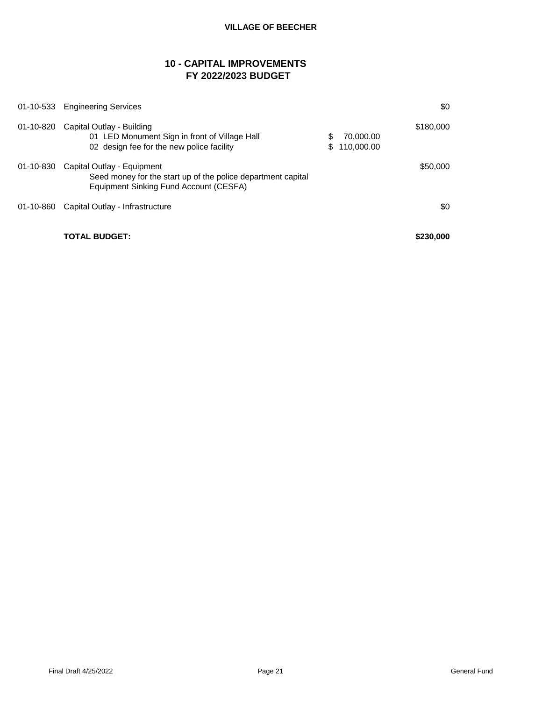# **10 - CAPITAL IMPROVEMENTS FY 2022/2023 BUDGET**

|           | 01-10-533 Engineering Services                                                                                                       |          |                         | \$0       |
|-----------|--------------------------------------------------------------------------------------------------------------------------------------|----------|-------------------------|-----------|
| 01-10-820 | Capital Outlay - Building<br>01 LED Monument Sign in front of Village Hall<br>02 design fee for the new police facility              | S<br>\$. | 70.000.00<br>110,000.00 | \$180,000 |
| 01-10-830 | Capital Outlay - Equipment<br>Seed money for the start up of the police department capital<br>Equipment Sinking Fund Account (CESFA) |          |                         | \$50,000  |
| 01-10-860 | Capital Outlay - Infrastructure                                                                                                      |          |                         | \$0       |
|           | <b>TOTAL BUDGET:</b>                                                                                                                 |          |                         | \$230,000 |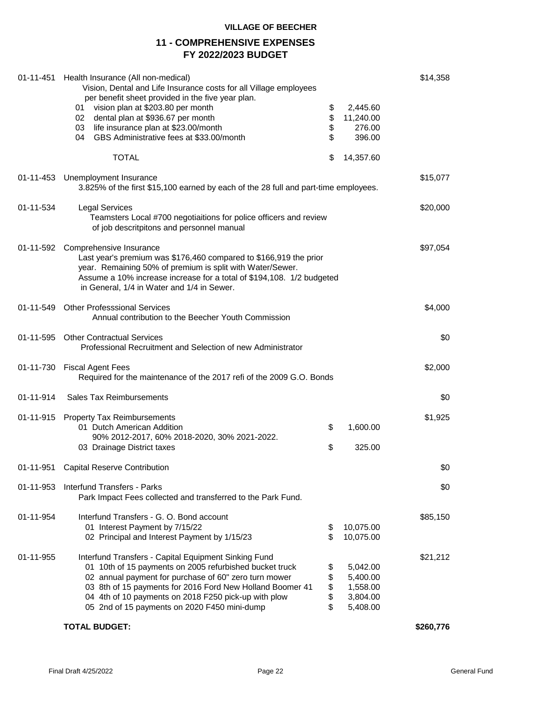# **11 - COMPREHENSIVE EXPENSES FY 2022/2023 BUDGET**

|           | 01-11-451 Health Insurance (All non-medical)<br>Vision, Dental and Life Insurance costs for all Village employees<br>per benefit sheet provided in the five year plan.<br>vision plan at \$203.80 per month<br>01<br>02 dental plan at \$936.67 per month                                                                                     | \$<br>\$                   | 2,445.60<br>11,240.00                                    | \$14,358  |  |
|-----------|-----------------------------------------------------------------------------------------------------------------------------------------------------------------------------------------------------------------------------------------------------------------------------------------------------------------------------------------------|----------------------------|----------------------------------------------------------|-----------|--|
|           | 03 life insurance plan at \$23.00/month<br>GBS Administrative fees at \$33.00/month<br>04 -                                                                                                                                                                                                                                                   | \$<br>\$                   | 276.00<br>396.00                                         |           |  |
|           | <b>TOTAL</b>                                                                                                                                                                                                                                                                                                                                  | \$                         | 14,357.60                                                |           |  |
|           | 01-11-453 Unemployment Insurance<br>3.825% of the first \$15,100 earned by each of the 28 full and part-time employees.                                                                                                                                                                                                                       |                            |                                                          | \$15,077  |  |
| 01-11-534 | <b>Legal Services</b><br>Teamsters Local #700 negotiaitions for police officers and review<br>of job descritpitons and personnel manual                                                                                                                                                                                                       |                            |                                                          | \$20,000  |  |
|           | 01-11-592 Comprehensive Insurance<br>Last year's premium was \$176,460 compared to \$166,919 the prior<br>year. Remaining 50% of premium is split with Water/Sewer.<br>Assume a 10% increase increase for a total of \$194,108. 1/2 budgeted<br>in General, 1/4 in Water and 1/4 in Sewer.                                                    |                            |                                                          | \$97,054  |  |
|           | 01-11-549 Other Professsional Services<br>Annual contribution to the Beecher Youth Commission                                                                                                                                                                                                                                                 |                            |                                                          | \$4,000   |  |
| 01-11-595 | <b>Other Contractual Services</b><br>Professional Recruitment and Selection of new Administrator                                                                                                                                                                                                                                              |                            |                                                          |           |  |
| 01-11-730 | <b>Fiscal Agent Fees</b><br>Required for the maintenance of the 2017 refi of the 2009 G.O. Bonds                                                                                                                                                                                                                                              |                            |                                                          | \$2,000   |  |
| 01-11-914 | Sales Tax Reimbursements                                                                                                                                                                                                                                                                                                                      |                            |                                                          | \$0       |  |
|           | 01-11-915 Property Tax Reimbursements<br>01 Dutch American Addition                                                                                                                                                                                                                                                                           | \$                         | 1,600.00                                                 | \$1,925   |  |
|           | 90% 2012-2017, 60% 2018-2020, 30% 2021-2022.<br>03 Drainage District taxes                                                                                                                                                                                                                                                                    | \$                         | 325.00                                                   |           |  |
|           | 01-11-951 Capital Reserve Contribution                                                                                                                                                                                                                                                                                                        |                            |                                                          | \$0       |  |
| 01-11-953 | <b>Interfund Transfers - Parks</b><br>Park Impact Fees collected and transferred to the Park Fund.                                                                                                                                                                                                                                            |                            |                                                          | \$0       |  |
| 01-11-954 | Interfund Transfers - G. O. Bond account<br>01 Interest Payment by 7/15/22<br>02 Principal and Interest Payment by 1/15/23                                                                                                                                                                                                                    | \$<br>\$                   | 10,075.00<br>10,075.00                                   | \$85,150  |  |
| 01-11-955 | Interfund Transfers - Capital Equipment Sinking Fund<br>01 10th of 15 payments on 2005 refurbished bucket truck<br>02 annual payment for purchase of 60" zero turn mower<br>03 8th of 15 payments for 2016 Ford New Holland Boomer 41<br>04 4th of 10 payments on 2018 F250 pick-up with plow<br>05 2nd of 15 payments on 2020 F450 mini-dump | \$<br>\$<br>\$<br>\$<br>\$ | 5,042.00<br>5,400.00<br>1,558.00<br>3,804.00<br>5,408.00 | \$21,212  |  |
|           | <b>TOTAL BUDGET:</b>                                                                                                                                                                                                                                                                                                                          |                            |                                                          | \$260,776 |  |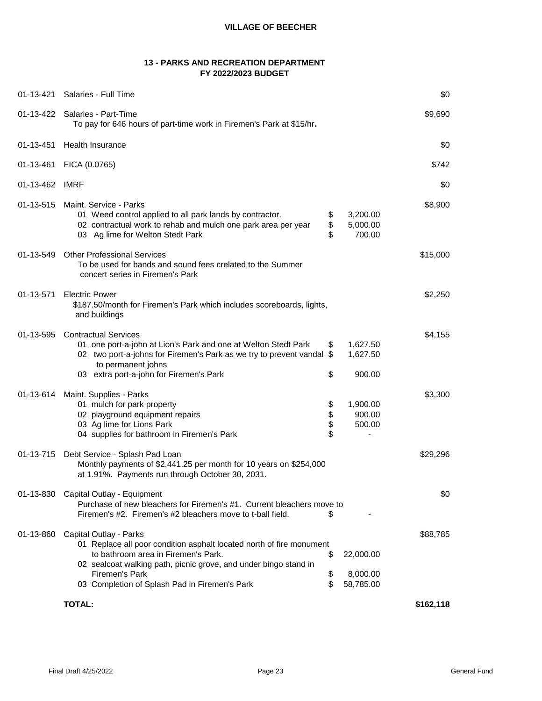# **13 - PARKS AND RECREATION DEPARTMENT FY 2022/2023 BUDGET**

| 01-13-421 | Salaries - Full Time                                                                                                                                                                                                                    |                      |                                | \$0       |
|-----------|-----------------------------------------------------------------------------------------------------------------------------------------------------------------------------------------------------------------------------------------|----------------------|--------------------------------|-----------|
|           | 01-13-422 Salaries - Part-Time<br>To pay for 646 hours of part-time work in Firemen's Park at \$15/hr.                                                                                                                                  |                      |                                | \$9,690   |
| 01-13-451 | <b>Health Insurance</b>                                                                                                                                                                                                                 |                      |                                | \$0       |
| 01-13-461 | FICA (0.0765)                                                                                                                                                                                                                           |                      |                                | \$742     |
| 01-13-462 | <b>IMRF</b>                                                                                                                                                                                                                             |                      |                                | \$0       |
| 01-13-515 | Maint. Service - Parks<br>01 Weed control applied to all park lands by contractor.<br>02 contractual work to rehab and mulch one park area per year<br>03 Ag lime for Welton Stedt Park                                                 | \$<br>\$<br>\$       | 3,200.00<br>5,000.00<br>700.00 | \$8,900   |
| 01-13-549 | <b>Other Professional Services</b><br>To be used for bands and sound fees crelated to the Summer<br>concert series in Firemen's Park                                                                                                    |                      |                                | \$15,000  |
| 01-13-571 | <b>Electric Power</b><br>\$187.50/month for Firemen's Park which includes scoreboards, lights,<br>and buildings                                                                                                                         |                      |                                | \$2,250   |
| 01-13-595 | <b>Contractual Services</b><br>01 one port-a-john at Lion's Park and one at Welton Stedt Park<br>02 two port-a-johns for Firemen's Park as we try to prevent vandal \$<br>to permanent johns<br>03 extra port-a-john for Firemen's Park | \$<br>\$             | 1,627.50<br>1,627.50<br>900.00 | \$4,155   |
| 01-13-614 | Maint. Supplies - Parks<br>01 mulch for park property<br>02 playground equipment repairs<br>03 Ag lime for Lions Park<br>04 supplies for bathroom in Firemen's Park                                                                     | \$<br>\$<br>\$<br>\$ | 1,900.00<br>900.00<br>500.00   | \$3,300   |
|           | 01-13-715 Debt Service - Splash Pad Loan<br>Monthly payments of \$2,441.25 per month for 10 years on \$254,000<br>at 1.91%. Payments run through October 30, 2031.                                                                      |                      |                                | \$29,296  |
| 01-13-830 | Capital Outlay - Equipment<br>Purchase of new bleachers for Firemen's #1. Current bleachers move to<br>Firemen's #2. Firemen's #2 bleachers move to t-ball field.                                                                       | \$                   |                                | \$0       |
| 01-13-860 | Capital Outlay - Parks<br>01 Replace all poor condition asphalt located north of fire monument<br>to bathroom area in Firemen's Park.<br>02 sealcoat walking path, picnic grove, and under bingo stand in<br>Firemen's Park             | \$<br>\$             | 22,000.00<br>8,000.00          | \$88,785  |
|           | 03 Completion of Splash Pad in Firemen's Park                                                                                                                                                                                           | \$                   | 58,785.00                      |           |
|           | <b>TOTAL:</b>                                                                                                                                                                                                                           |                      |                                | \$162,118 |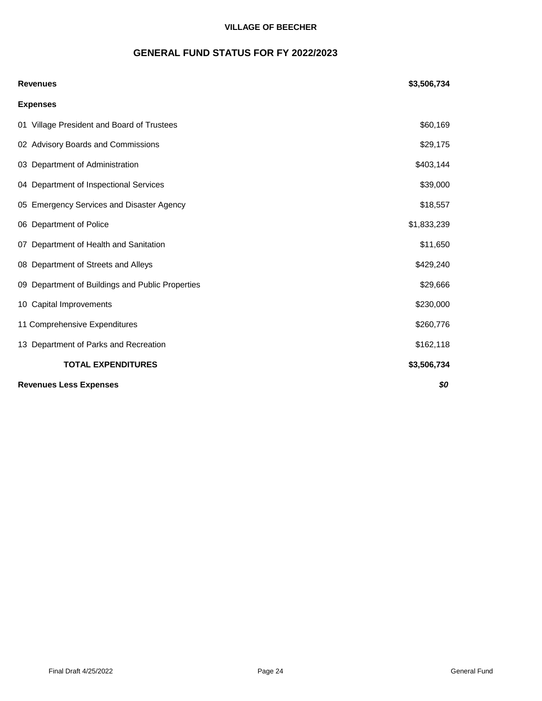# **GENERAL FUND STATUS FOR FY 2022/2023**

| <b>Revenues</b>                                  | \$3,506,734 |
|--------------------------------------------------|-------------|
| <b>Expenses</b>                                  |             |
| 01 Village President and Board of Trustees       | \$60,169    |
| 02 Advisory Boards and Commissions               | \$29,175    |
| 03 Department of Administration                  | \$403,144   |
| 04 Department of Inspectional Services           | \$39,000    |
| 05 Emergency Services and Disaster Agency        | \$18,557    |
| 06 Department of Police                          | \$1,833,239 |
| 07 Department of Health and Sanitation           | \$11,650    |
| 08 Department of Streets and Alleys              | \$429,240   |
| 09 Department of Buildings and Public Properties | \$29,666    |
| 10 Capital Improvements                          | \$230,000   |
| 11 Comprehensive Expenditures                    | \$260,776   |
| 13 Department of Parks and Recreation            | \$162,118   |
| <b>TOTAL EXPENDITURES</b>                        | \$3,506,734 |
| <b>Revenues Less Expenses</b>                    | \$0         |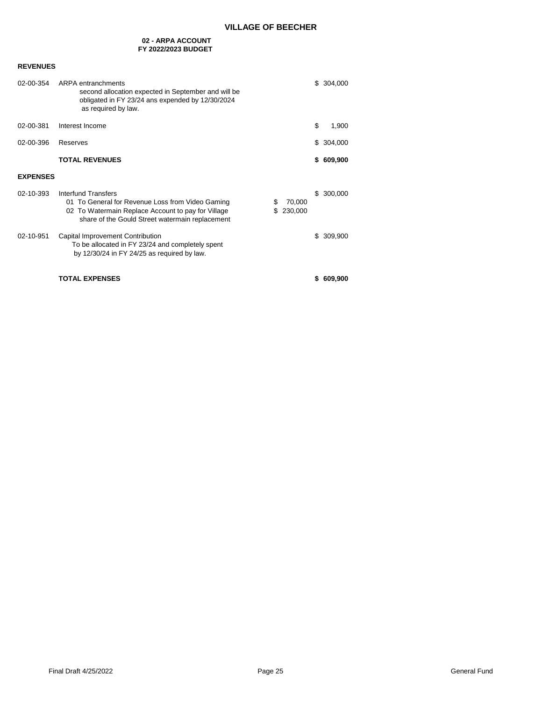#### **02 - ARPA ACCOUNT FY 2022/2023 BUDGET**

| 02-00-354       | ARPA entranchments<br>second allocation expected in September and will be<br>obligated in FY 23/24 ans expended by 12/30/2024<br>as required by law.                                              |                   | \$304,000  |
|-----------------|---------------------------------------------------------------------------------------------------------------------------------------------------------------------------------------------------|-------------------|------------|
| 02-00-381       | Interest Income                                                                                                                                                                                   | \$                | 1,900      |
| 02-00-396       | Reserves                                                                                                                                                                                          | \$                | 304,000    |
|                 | <b>TOTAL REVENUES</b>                                                                                                                                                                             | \$                | 609,900    |
| <b>EXPENSES</b> |                                                                                                                                                                                                   |                   |            |
| 02-10-393       | <b>Interfund Transfers</b><br>01 To General for Revenue Loss from Video Gaming<br>S<br>02 To Watermain Replace Account to pay for Village<br>S<br>share of the Gould Street watermain replacement | 70,000<br>230,000 | \$ 300,000 |
| 02-10-951       | Capital Improvement Contribution<br>To be allocated in FY 23/24 and completely spent<br>by $12/30/24$ in FY 24/25 as required by law.                                                             |                   | \$ 309,900 |
|                 | <b>TOTAL EXPENSES</b>                                                                                                                                                                             | S                 | 609,900    |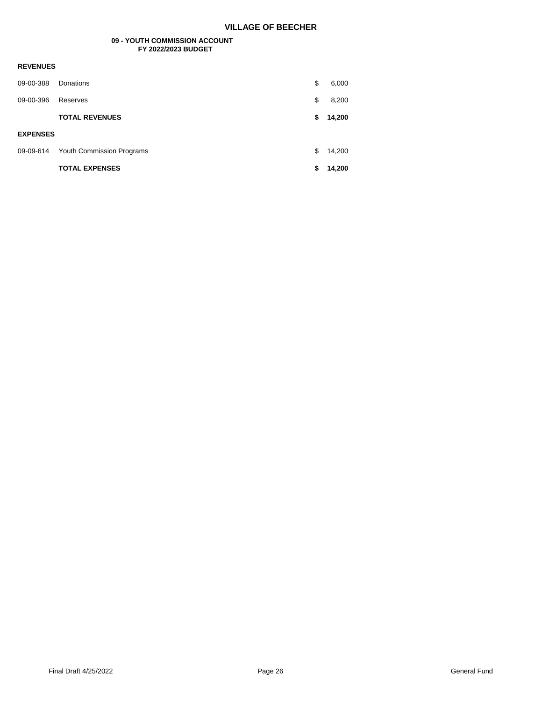#### **09 - YOUTH COMMISSION ACCOUNT FY 2022/2023 BUDGET**

| 09-00-388       | Donations                 | \$ | 6,000  |
|-----------------|---------------------------|----|--------|
| 09-00-396       | Reserves                  | \$ | 8,200  |
|                 | <b>TOTAL REVENUES</b>     | S  | 14,200 |
|                 |                           |    |        |
| <b>EXPENSES</b> |                           |    |        |
| 09-09-614       | Youth Commission Programs | \$ | 14,200 |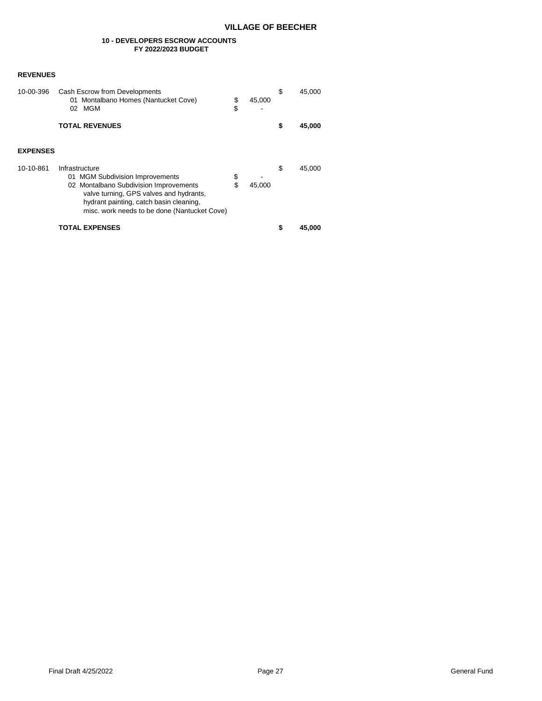#### **10 - DEVELOPERS ESCROW ACCOUNTS FY 2022/2023 BUDGET**

| 10-00-396       | Cash Escrow from Developments<br>01 Montalbano Homes (Nantucket Cove)<br>MGM<br>02                                                                                                                                                | \$<br>\$ | 45.000 | \$ | 45,000 |
|-----------------|-----------------------------------------------------------------------------------------------------------------------------------------------------------------------------------------------------------------------------------|----------|--------|----|--------|
|                 | <b>TOTAL REVENUES</b>                                                                                                                                                                                                             |          |        | \$ | 45,000 |
| <b>EXPENSES</b> |                                                                                                                                                                                                                                   |          |        |    |        |
| 10-10-861       | Infrastructure<br>01 MGM Subdivision Improvements<br>02 Montalbano Subdivision Improvements<br>valve turning, GPS valves and hydrants,<br>hydrant painting, catch basin cleaning,<br>misc. work needs to be done (Nantucket Cove) | \$<br>\$ | 45.000 | \$ | 45.000 |
|                 | TOTAL EXPENSES                                                                                                                                                                                                                    |          |        | S  | 45,000 |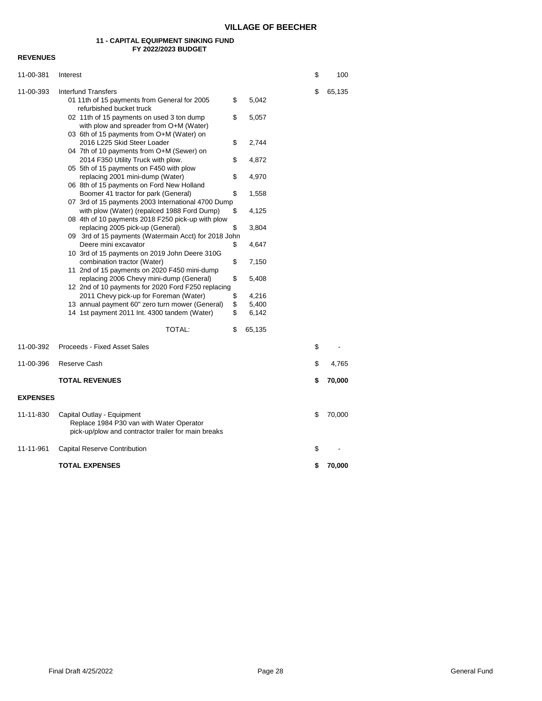#### **11 - CAPITAL EQUIPMENT SINKING FUND FY 2022/2023 BUDGET**

| 11-00-381       | Interest                                                                                                                                       |          |                | \$ | 100    |
|-----------------|------------------------------------------------------------------------------------------------------------------------------------------------|----------|----------------|----|--------|
| 11-00-393       | Interfund Transfers<br>01 11th of 15 payments from General for 2005<br>refurbished bucket truck                                                | \$       | 5,042          | \$ | 65,135 |
|                 | 02 11th of 15 payments on used 3 ton dump<br>with plow and spreader from O+M (Water)                                                           | \$       | 5,057          |    |        |
|                 | 03 6th of 15 payments from O+M (Water) on<br>2016 L225 Skid Steer Loader<br>04 7th of 10 payments from O+M (Sewer) on                          | \$       | 2,744          |    |        |
|                 | 2014 F350 Utility Truck with plow.<br>05 5th of 15 payments on F450 with plow                                                                  | \$       | 4,872          |    |        |
|                 | replacing 2001 mini-dump (Water)<br>06 8th of 15 payments on Ford New Holland                                                                  | \$       | 4,970          |    |        |
|                 | Boomer 41 tractor for park (General)<br>07 3rd of 15 payments 2003 International 4700 Dump                                                     | \$       | 1,558          |    |        |
|                 | with plow (Water) (repalced 1988 Ford Dump)<br>08 4th of 10 payments 2018 F250 pick-up with plow<br>replacing 2005 pick-up (General)           | \$<br>\$ | 4,125<br>3,804 |    |        |
|                 | 09 3rd of 15 payments (Watermain Acct) for 2018 John<br>Deere mini excavator                                                                   | \$       | 4,647          |    |        |
|                 | 10 3rd of 15 payments on 2019 John Deere 310G<br>combination tractor (Water)                                                                   | \$       | 7,150          |    |        |
|                 | 11 2nd of 15 payments on 2020 F450 mini-dump<br>replacing 2006 Chevy mini-dump (General)<br>12 2nd of 10 payments for 2020 Ford F250 replacing | \$       | 5,408          |    |        |
|                 | 2011 Chevy pick-up for Foreman (Water)                                                                                                         | \$       | 4,216          |    |        |
|                 | 13 annual payment 60" zero turn mower (General)<br>14 1st payment 2011 Int. 4300 tandem (Water)                                                | \$<br>\$ | 5,400<br>6,142 |    |        |
|                 | TOTAL:                                                                                                                                         | \$       | 65,135         |    |        |
| 11-00-392       | Proceeds - Fixed Asset Sales                                                                                                                   |          |                | \$ |        |
| 11-00-396       | Reserve Cash                                                                                                                                   |          |                | \$ | 4,765  |
|                 | <b>TOTAL REVENUES</b>                                                                                                                          |          |                | \$ | 70,000 |
| <b>EXPENSES</b> |                                                                                                                                                |          |                |    |        |
| 11-11-830       | Capital Outlay - Equipment<br>Replace 1984 P30 van with Water Operator<br>pick-up/plow and contractor trailer for main breaks                  |          |                | \$ | 70,000 |
| 11-11-961       | Capital Reserve Contribution                                                                                                                   |          |                | \$ |        |
|                 | <b>TOTAL EXPENSES</b>                                                                                                                          |          |                | \$ | 70,000 |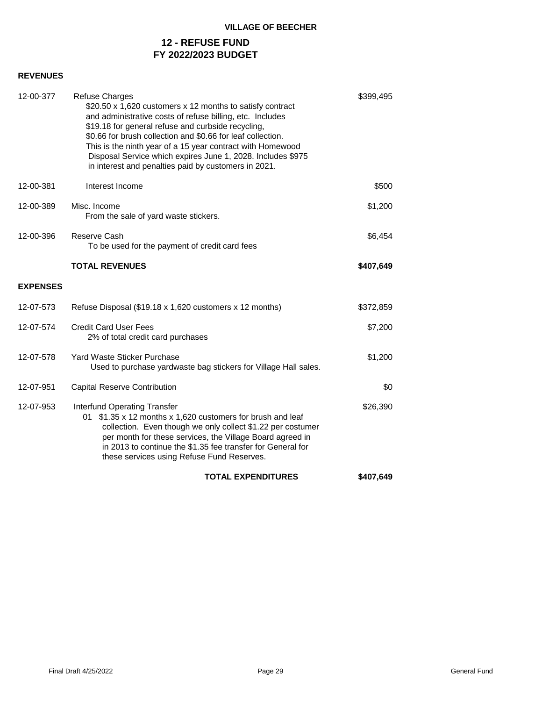# **12 - REFUSE FUND FY 2022/2023 BUDGET**

| 12-00-377       | <b>Refuse Charges</b><br>\$20.50 x 1,620 customers x 12 months to satisfy contract<br>and administrative costs of refuse billing, etc. Includes<br>\$19.18 for general refuse and curbside recycling,<br>\$0.66 for brush collection and \$0.66 for leaf collection.<br>This is the ninth year of a 15 year contract with Homewood<br>Disposal Service which expires June 1, 2028. Includes \$975<br>in interest and penalties paid by customers in 2021. | \$399,495 |  |
|-----------------|-----------------------------------------------------------------------------------------------------------------------------------------------------------------------------------------------------------------------------------------------------------------------------------------------------------------------------------------------------------------------------------------------------------------------------------------------------------|-----------|--|
| 12-00-381       | Interest Income                                                                                                                                                                                                                                                                                                                                                                                                                                           | \$500     |  |
| 12-00-389       | Misc. Income<br>From the sale of yard waste stickers.                                                                                                                                                                                                                                                                                                                                                                                                     | \$1,200   |  |
| 12-00-396       | Reserve Cash<br>To be used for the payment of credit card fees                                                                                                                                                                                                                                                                                                                                                                                            | \$6,454   |  |
|                 | <b>TOTAL REVENUES</b>                                                                                                                                                                                                                                                                                                                                                                                                                                     | \$407,649 |  |
| <b>EXPENSES</b> |                                                                                                                                                                                                                                                                                                                                                                                                                                                           |           |  |
| 12-07-573       | Refuse Disposal (\$19.18 x 1,620 customers x 12 months)                                                                                                                                                                                                                                                                                                                                                                                                   | \$372,859 |  |
| 12-07-574       | <b>Credit Card User Fees</b><br>2% of total credit card purchases                                                                                                                                                                                                                                                                                                                                                                                         | \$7,200   |  |
| 12-07-578       | Yard Waste Sticker Purchase<br>Used to purchase yardwaste bag stickers for Village Hall sales.                                                                                                                                                                                                                                                                                                                                                            | \$1,200   |  |
| 12-07-951       | <b>Capital Reserve Contribution</b>                                                                                                                                                                                                                                                                                                                                                                                                                       | \$0       |  |
| 12-07-953       | Interfund Operating Transfer<br>\$1.35 x 12 months x 1,620 customers for brush and leaf<br>01<br>collection. Even though we only collect \$1.22 per costumer<br>per month for these services, the Village Board agreed in<br>in 2013 to continue the \$1.35 fee transfer for General for<br>these services using Refuse Fund Reserves.                                                                                                                    | \$26,390  |  |
|                 | <b>TOTAL EXPENDITURES</b>                                                                                                                                                                                                                                                                                                                                                                                                                                 | \$407,649 |  |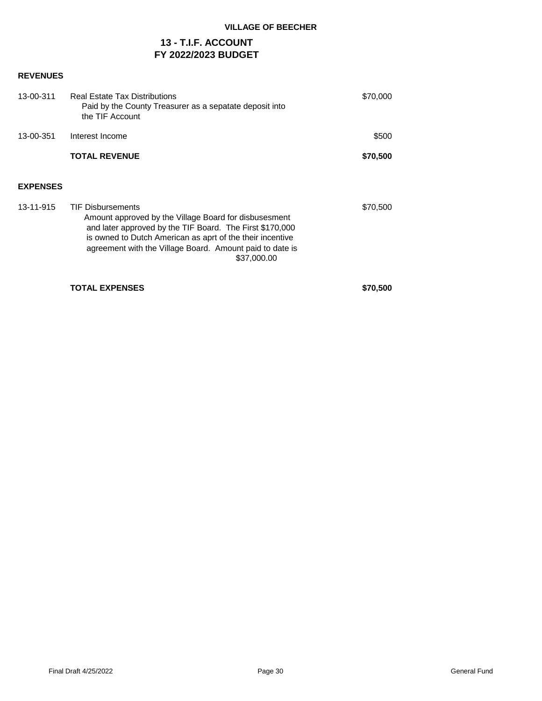# **13 - T.I.F. ACCOUNT FY 2022/2023 BUDGET**

# **REVENUES**

| 13-00-311       | Real Estate Tax Distributions<br>Paid by the County Treasurer as a sepatate deposit into<br>the TIF Account                                                                                                                                                                           | \$70,000 |
|-----------------|---------------------------------------------------------------------------------------------------------------------------------------------------------------------------------------------------------------------------------------------------------------------------------------|----------|
| 13-00-351       | Interest Income                                                                                                                                                                                                                                                                       | \$500    |
|                 | <b>TOTAL REVENUE</b>                                                                                                                                                                                                                                                                  | \$70,500 |
| <b>EXPENSES</b> |                                                                                                                                                                                                                                                                                       |          |
| 13-11-915       | <b>TIF Disbursements</b><br>Amount approved by the Village Board for disbusesment<br>and later approved by the TIF Board. The First \$170,000<br>is owned to Dutch American as aprt of the their incentive<br>agreement with the Village Board. Amount paid to date is<br>\$37,000.00 | \$70,500 |

**TOTAL EXPENSES \$70,500**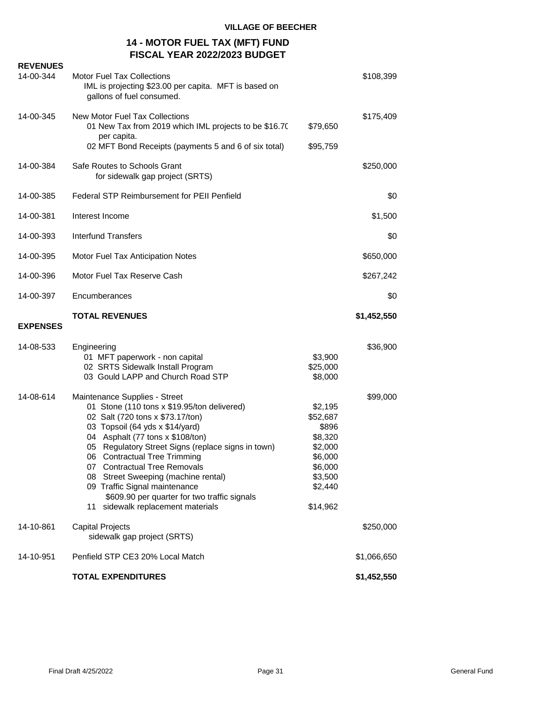# **14 - MOTOR FUEL TAX (MFT) FUND FISCAL YEAR 2022/2023 BUDGET**

| <b>REVENUES</b><br>14-00-344 | <b>Motor Fuel Tax Collections</b><br>IML is projecting \$23.00 per capita. MFT is based on<br>gallons of fuel consumed.                                                                                                                                                                                                                                                                                                                                                       |                                                                                                            | \$108,399   |
|------------------------------|-------------------------------------------------------------------------------------------------------------------------------------------------------------------------------------------------------------------------------------------------------------------------------------------------------------------------------------------------------------------------------------------------------------------------------------------------------------------------------|------------------------------------------------------------------------------------------------------------|-------------|
| 14-00-345                    | New Motor Fuel Tax Collections<br>01 New Tax from 2019 which IML projects to be \$16.70<br>per capita.<br>02 MFT Bond Receipts (payments 5 and 6 of six total)                                                                                                                                                                                                                                                                                                                | \$79,650<br>\$95,759                                                                                       | \$175,409   |
| 14-00-384                    | Safe Routes to Schools Grant<br>for sidewalk gap project (SRTS)                                                                                                                                                                                                                                                                                                                                                                                                               |                                                                                                            | \$250,000   |
| 14-00-385                    | <b>Federal STP Reimbursement for PEII Penfield</b>                                                                                                                                                                                                                                                                                                                                                                                                                            |                                                                                                            | \$0         |
| 14-00-381                    | Interest Income                                                                                                                                                                                                                                                                                                                                                                                                                                                               |                                                                                                            | \$1,500     |
| 14-00-393                    | <b>Interfund Transfers</b>                                                                                                                                                                                                                                                                                                                                                                                                                                                    |                                                                                                            | \$0         |
| 14-00-395                    | Motor Fuel Tax Anticipation Notes                                                                                                                                                                                                                                                                                                                                                                                                                                             |                                                                                                            | \$650,000   |
| 14-00-396                    | Motor Fuel Tax Reserve Cash                                                                                                                                                                                                                                                                                                                                                                                                                                                   |                                                                                                            | \$267,242   |
| 14-00-397                    | Encumberances                                                                                                                                                                                                                                                                                                                                                                                                                                                                 |                                                                                                            | \$0         |
| <b>EXPENSES</b>              | <b>TOTAL REVENUES</b>                                                                                                                                                                                                                                                                                                                                                                                                                                                         |                                                                                                            | \$1,452,550 |
| 14-08-533                    | Engineering<br>01 MFT paperwork - non capital<br>02 SRTS Sidewalk Install Program<br>03 Gould LAPP and Church Road STP                                                                                                                                                                                                                                                                                                                                                        | \$3,900<br>\$25,000<br>\$8,000                                                                             | \$36,900    |
| 14-08-614                    | Maintenance Supplies - Street<br>01 Stone (110 tons x \$19.95/ton delivered)<br>02 Salt (720 tons x \$73.17/ton)<br>03 Topsoil (64 yds x \$14/yard)<br>04 Asphalt (77 tons x \$108/ton)<br>05 Regulatory Street Signs (replace signs in town)<br>06 Contractual Tree Trimming<br>07 Contractual Tree Removals<br>08 Street Sweeping (machine rental)<br>09 Traffic Signal maintenance<br>\$609.90 per quarter for two traffic signals<br>sidewalk replacement materials<br>11 | \$2,195<br>\$52,687<br>\$896<br>\$8,320<br>\$2,000<br>\$6,000<br>\$6,000<br>\$3,500<br>\$2,440<br>\$14,962 | \$99,000    |
| 14-10-861                    |                                                                                                                                                                                                                                                                                                                                                                                                                                                                               |                                                                                                            |             |
|                              | <b>Capital Projects</b><br>sidewalk gap project (SRTS)                                                                                                                                                                                                                                                                                                                                                                                                                        |                                                                                                            | \$250,000   |
| 14-10-951                    | Penfield STP CE3 20% Local Match                                                                                                                                                                                                                                                                                                                                                                                                                                              |                                                                                                            | \$1,066,650 |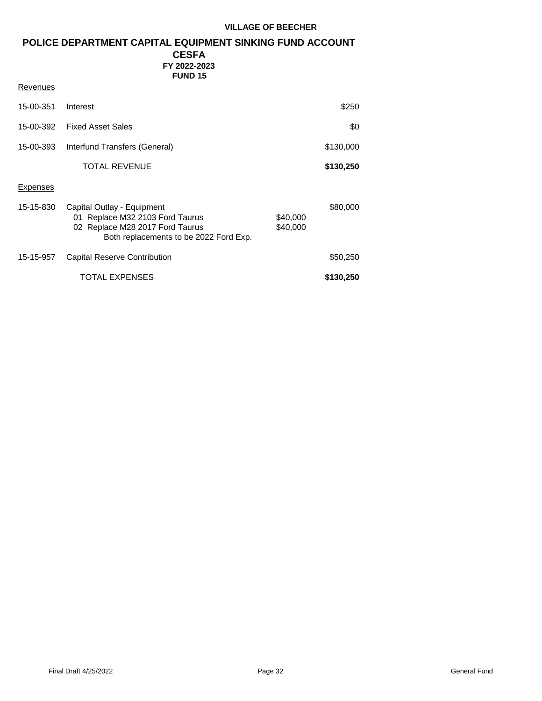# **POLICE DEPARTMENT CAPITAL EQUIPMENT SINKING FUND ACCOUNT**

# **CESFA FY 2022-2023 FUND 15**

| Revenues  |                                                                                                                                            |                      |           |
|-----------|--------------------------------------------------------------------------------------------------------------------------------------------|----------------------|-----------|
| 15-00-351 | Interest                                                                                                                                   |                      | \$250     |
| 15-00-392 | <b>Fixed Asset Sales</b>                                                                                                                   |                      | \$0       |
| 15-00-393 | Interfund Transfers (General)                                                                                                              |                      | \$130,000 |
|           | TOTAL REVENUE                                                                                                                              |                      | \$130,250 |
| Expenses  |                                                                                                                                            |                      |           |
| 15-15-830 | Capital Outlay - Equipment<br>01 Replace M32 2103 Ford Taurus<br>02 Replace M28 2017 Ford Taurus<br>Both replacements to be 2022 Ford Exp. | \$40,000<br>\$40,000 | \$80,000  |
| 15-15-957 | Capital Reserve Contribution                                                                                                               |                      | \$50,250  |
|           | TOTAL EXPENSES                                                                                                                             |                      | \$130,250 |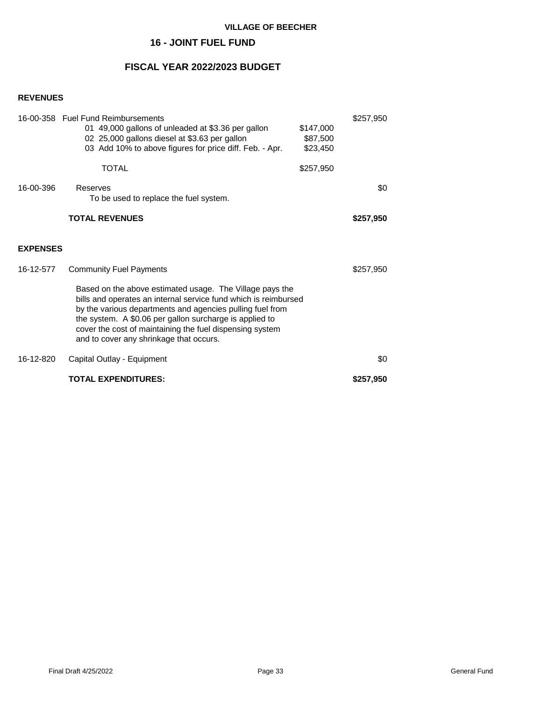# **16 - JOINT FUEL FUND**

# **FISCAL YEAR 2022/2023 BUDGET**

|                 | 16-00-358 Fuel Fund Reimbursements<br>01 49,000 gallons of unleaded at \$3.36 per gallon<br>02 25,000 gallons diesel at \$3.63 per gallon<br>03 Add 10% to above figures for price diff. Feb. - Apr.<br><b>TOTAL</b>                                                                                                                                       | \$147,000<br>\$87,500<br>\$23,450<br>\$257,950 | \$257,950 |
|-----------------|------------------------------------------------------------------------------------------------------------------------------------------------------------------------------------------------------------------------------------------------------------------------------------------------------------------------------------------------------------|------------------------------------------------|-----------|
| 16-00-396       | Reserves<br>To be used to replace the fuel system.                                                                                                                                                                                                                                                                                                         |                                                | \$0       |
|                 | <b>TOTAL REVENUES</b>                                                                                                                                                                                                                                                                                                                                      |                                                | \$257,950 |
| <b>EXPENSES</b> |                                                                                                                                                                                                                                                                                                                                                            |                                                |           |
| 16-12-577       | <b>Community Fuel Payments</b>                                                                                                                                                                                                                                                                                                                             |                                                | \$257,950 |
|                 | Based on the above estimated usage. The Village pays the<br>bills and operates an internal service fund which is reimbursed<br>by the various departments and agencies pulling fuel from<br>the system. A \$0.06 per gallon surcharge is applied to<br>cover the cost of maintaining the fuel dispensing system<br>and to cover any shrinkage that occurs. |                                                |           |
| 16-12-820       | Capital Outlay - Equipment                                                                                                                                                                                                                                                                                                                                 |                                                | \$0       |
|                 | <b>TOTAL EXPENDITURES:</b>                                                                                                                                                                                                                                                                                                                                 |                                                | \$257,950 |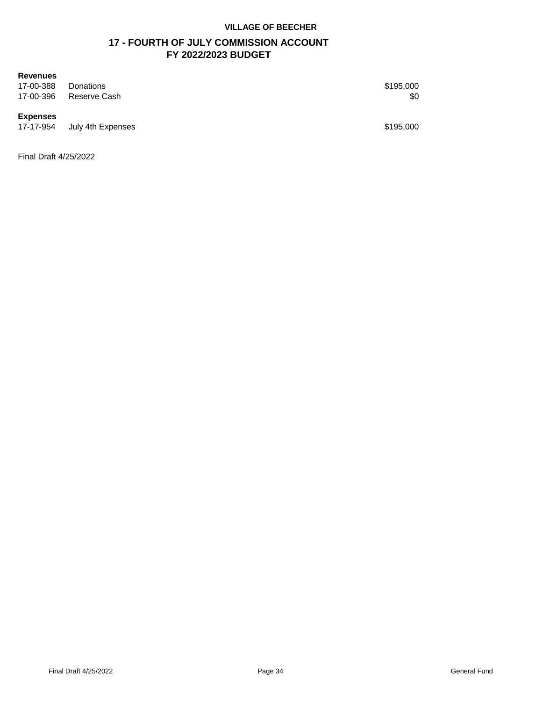# **17 - FOURTH OF JULY COMMISSION ACCOUNT FY 2022/2023 BUDGET**

# **Revenues**

17-00-388 Donations \$195,000 17-00-396 Reserve Cash \$0

# **Expenses**

**17-17-17-17-17-08 July 4th Expenses \$195,000** 

Final Draft 4/25/2022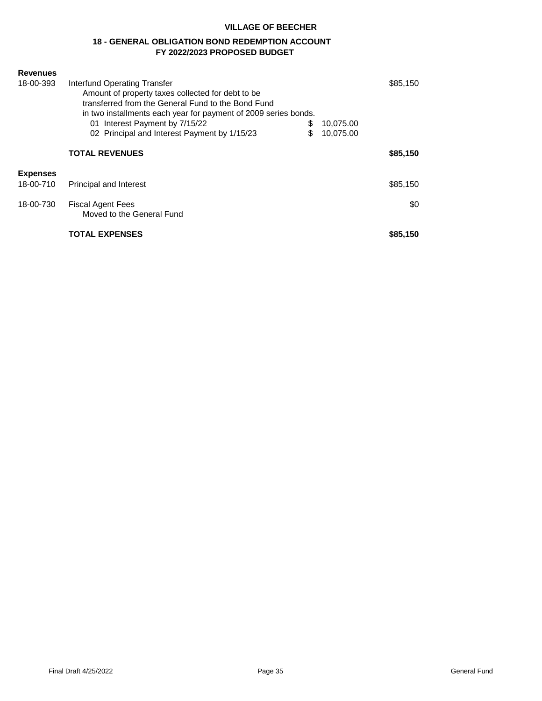# **18 - GENERAL OBLIGATION BOND REDEMPTION ACCOUNT FY 2022/2023 PROPOSED BUDGET**

| <b>Revenues</b><br>18-00-393              | Interfund Operating Transfer<br>Amount of property taxes collected for debt to be<br>transferred from the General Fund to the Bond Fund<br>in two installments each year for payment of 2009 series bonds.<br>Interest Payment by 7/15/22<br>01<br>02 Principal and Interest Payment by 1/15/23 | \$<br>\$ | 10,075.00<br>10,075.00 | \$85,150        |
|-------------------------------------------|-------------------------------------------------------------------------------------------------------------------------------------------------------------------------------------------------------------------------------------------------------------------------------------------------|----------|------------------------|-----------------|
|                                           | <b>TOTAL REVENUES</b>                                                                                                                                                                                                                                                                           |          |                        | \$85,150        |
| <b>Expenses</b><br>18-00-710<br>18-00-730 | <b>Principal and Interest</b><br><b>Fiscal Agent Fees</b><br>Moved to the General Fund                                                                                                                                                                                                          |          |                        | \$85,150<br>\$0 |
|                                           | <b>TOTAL EXPENSES</b>                                                                                                                                                                                                                                                                           |          |                        | \$85,150        |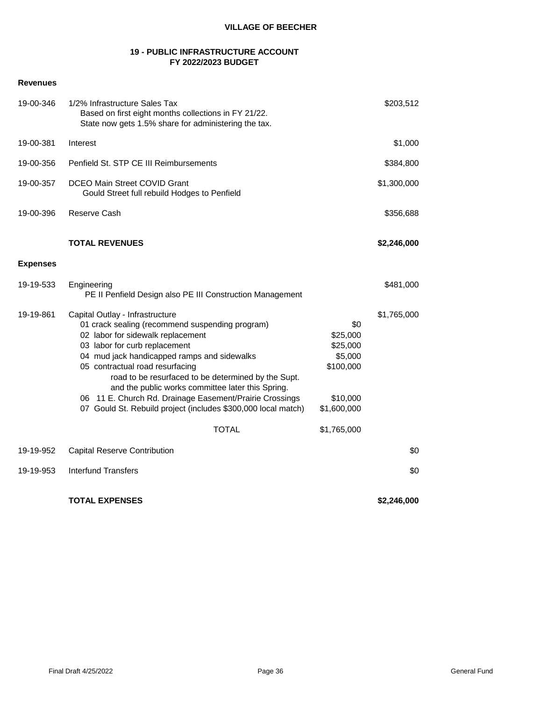# **19 - PUBLIC INFRASTRUCTURE ACCOUNT FY 2022/2023 BUDGET**

# **Revenues**

| 19-00-346       | 1/2% Infrastructure Sales Tax<br>Based on first eight months collections in FY 21/22.<br>State now gets 1.5% share for administering the tax.                                                                                                                                                                                                                                                                                                                                      |                                                                                | \$203,512   |
|-----------------|------------------------------------------------------------------------------------------------------------------------------------------------------------------------------------------------------------------------------------------------------------------------------------------------------------------------------------------------------------------------------------------------------------------------------------------------------------------------------------|--------------------------------------------------------------------------------|-------------|
| 19-00-381       | Interest                                                                                                                                                                                                                                                                                                                                                                                                                                                                           |                                                                                | \$1,000     |
| 19-00-356       | Penfield St. STP CE III Reimbursements                                                                                                                                                                                                                                                                                                                                                                                                                                             |                                                                                | \$384,800   |
| 19-00-357       | DCEO Main Street COVID Grant<br>Gould Street full rebuild Hodges to Penfield                                                                                                                                                                                                                                                                                                                                                                                                       |                                                                                | \$1,300,000 |
| 19-00-396       | Reserve Cash                                                                                                                                                                                                                                                                                                                                                                                                                                                                       |                                                                                | \$356,688   |
|                 | <b>TOTAL REVENUES</b>                                                                                                                                                                                                                                                                                                                                                                                                                                                              |                                                                                | \$2,246,000 |
| <b>Expenses</b> |                                                                                                                                                                                                                                                                                                                                                                                                                                                                                    |                                                                                |             |
| 19-19-533       | Engineering<br>PE II Penfield Design also PE III Construction Management                                                                                                                                                                                                                                                                                                                                                                                                           |                                                                                | \$481,000   |
| 19-19-861       | Capital Outlay - Infrastructure<br>01 crack sealing (recommend suspending program)<br>02 labor for sidewalk replacement<br>03 labor for curb replacement<br>04 mud jack handicapped ramps and sidewalks<br>05 contractual road resurfacing<br>road to be resurfaced to be determined by the Supt.<br>and the public works committee later this Spring.<br>06 11 E. Church Rd. Drainage Easement/Prairie Crossings<br>07 Gould St. Rebuild project (includes \$300,000 local match) | \$0<br>\$25,000<br>\$25,000<br>\$5,000<br>\$100,000<br>\$10,000<br>\$1,600,000 | \$1,765,000 |
|                 | <b>TOTAL</b>                                                                                                                                                                                                                                                                                                                                                                                                                                                                       | \$1,765,000                                                                    |             |
| 19-19-952       | <b>Capital Reserve Contribution</b>                                                                                                                                                                                                                                                                                                                                                                                                                                                |                                                                                | \$0         |
| 19-19-953       | <b>Interfund Transfers</b>                                                                                                                                                                                                                                                                                                                                                                                                                                                         |                                                                                | \$0         |
|                 | <b>TOTAL EXPENSES</b>                                                                                                                                                                                                                                                                                                                                                                                                                                                              |                                                                                | \$2,246,000 |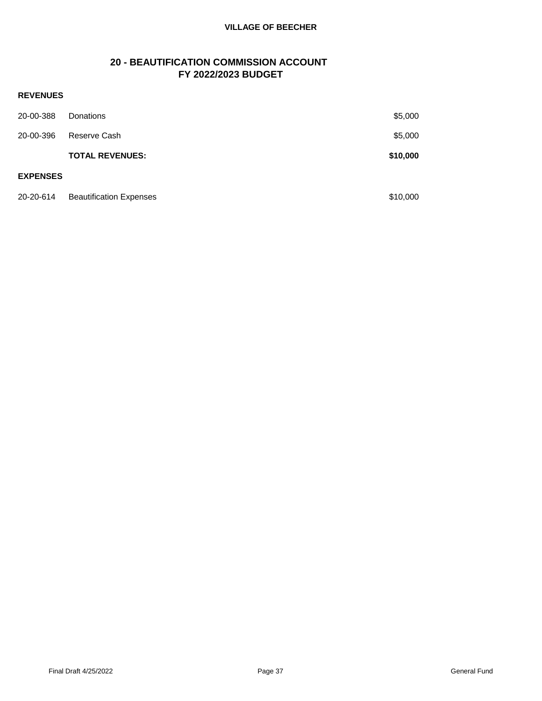# **20 - BEAUTIFICATION COMMISSION ACCOUNT FY 2022/2023 BUDGET**

| 20-00-388       | Donations                      | \$5,000  |
|-----------------|--------------------------------|----------|
| 20-00-396       | Reserve Cash                   | \$5,000  |
|                 | <b>TOTAL REVENUES:</b>         | \$10,000 |
| <b>EXPENSES</b> |                                |          |
| 20-20-614       | <b>Beautification Expenses</b> | \$10,000 |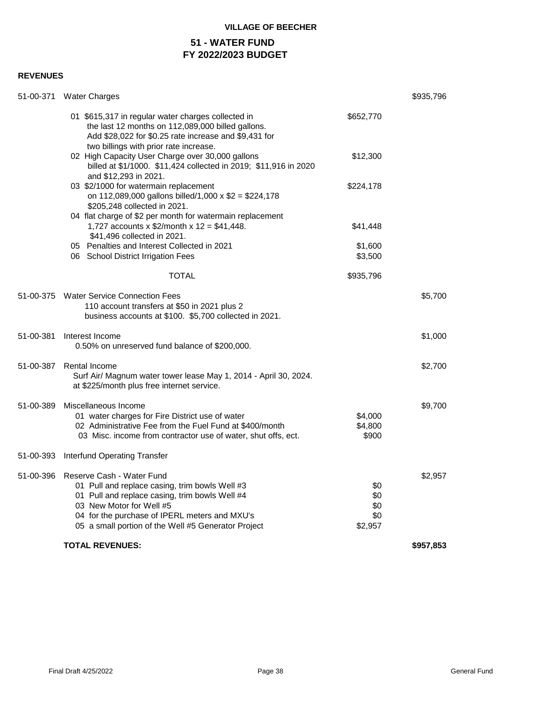# **51 - WATER FUND FY 2022/2023 BUDGET**

| 51-00-371 | <b>Water Charges</b>                                                                                                                                                                                                                                              |                                     | \$935,796 |
|-----------|-------------------------------------------------------------------------------------------------------------------------------------------------------------------------------------------------------------------------------------------------------------------|-------------------------------------|-----------|
|           | 01 \$615,317 in regular water charges collected in<br>the last 12 months on 112,089,000 billed gallons.<br>Add \$28,022 for \$0.25 rate increase and \$9,431 for<br>two billings with prior rate increase.                                                        | \$652,770                           |           |
|           | 02 High Capacity User Charge over 30,000 gallons<br>billed at \$1/1000. \$11,424 collected in 2019; \$11,916 in 2020<br>and \$12,293 in 2021.                                                                                                                     | \$12,300                            |           |
|           | 03 \$2/1000 for watermain replacement<br>on 112,089,000 gallons billed/1,000 x \$2 = \$224,178<br>\$205,248 collected in 2021.                                                                                                                                    | \$224,178                           |           |
|           | 04 flat charge of \$2 per month for watermain replacement<br>1,727 accounts x $$2/m$ onth x 12 = \$41,448.<br>\$41,496 collected in 2021.                                                                                                                         | \$41,448                            |           |
|           | 05 Penalties and Interest Collected in 2021<br>06 School District Irrigation Fees                                                                                                                                                                                 | \$1,600<br>\$3,500                  |           |
|           | <b>TOTAL</b>                                                                                                                                                                                                                                                      | \$935,796                           |           |
|           | 51-00-375 Water Service Connection Fees<br>110 account transfers at \$50 in 2021 plus 2<br>business accounts at \$100. \$5,700 collected in 2021.                                                                                                                 |                                     | \$5,700   |
| 51-00-381 | Interest Income<br>0.50% on unreserved fund balance of \$200,000.                                                                                                                                                                                                 |                                     | \$1,000   |
| 51-00-387 | Rental Income<br>Surf Air/ Magnum water tower lease May 1, 2014 - April 30, 2024.<br>at \$225/month plus free internet service.                                                                                                                                   |                                     | \$2,700   |
| 51-00-389 | Miscellaneous Income<br>01 water charges for Fire District use of water<br>02 Administrative Fee from the Fuel Fund at \$400/month<br>03 Misc. income from contractor use of water, shut offs, ect.                                                               | \$4,000<br>\$4,800<br>\$900         | \$9,700   |
| 51-00-393 | <b>Interfund Operating Transfer</b>                                                                                                                                                                                                                               |                                     |           |
| 51-00-396 | Reserve Cash - Water Fund<br>01 Pull and replace casing, trim bowls Well #3<br>01 Pull and replace casing, trim bowls Well #4<br>03 New Motor for Well #5<br>04 for the purchase of IPERL meters and MXU's<br>05 a small portion of the Well #5 Generator Project | \$0<br>\$0<br>\$0<br>\$0<br>\$2,957 | \$2,957   |
|           | <b>TOTAL REVENUES:</b>                                                                                                                                                                                                                                            |                                     | \$957,853 |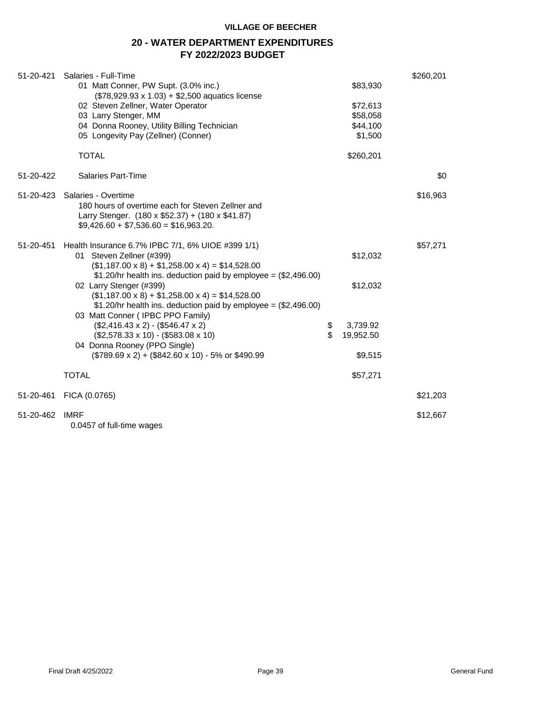# **20 - WATER DEPARTMENT EXPENDITURES FY 2022/2023 BUDGET**

| 51-20-421 | Salaries - Full-Time                                                                                  |                 | \$260,201 |
|-----------|-------------------------------------------------------------------------------------------------------|-----------------|-----------|
|           | 01 Matt Conner, PW Supt. (3.0% inc.)                                                                  | \$83,930        |           |
|           | (\$78,929.93 x 1.03) + \$2,500 aquatics license<br>02 Steven Zellner, Water Operator                  | \$72,613        |           |
|           | 03 Larry Stenger, MM                                                                                  | \$58,058        |           |
|           | 04 Donna Rooney, Utility Billing Technician                                                           | \$44,100        |           |
|           | 05 Longevity Pay (Zellner) (Conner)                                                                   | \$1,500         |           |
|           |                                                                                                       |                 |           |
|           | <b>TOTAL</b>                                                                                          | \$260,201       |           |
| 51-20-422 | <b>Salaries Part-Time</b>                                                                             |                 | \$0       |
| 51-20-423 | Salaries - Overtime                                                                                   |                 | \$16,963  |
|           | 180 hours of overtime each for Steven Zellner and                                                     |                 |           |
|           | Larry Stenger. $(180 \times $52.37) + (180 \times $41.87)$                                            |                 |           |
|           | $$9,426.60 + $7,536.60 = $16,963.20$                                                                  |                 |           |
| 51-20-451 | Health Insurance 6.7% IPBC 7/1, 6% UIOE #399 1/1)                                                     |                 | \$57,271  |
|           | 01 Steven Zellner (#399)                                                                              | \$12,032        |           |
|           | $($1,187.00 \times 8) + $1,258.00 \times 4) = $14,528.00$                                             |                 |           |
|           | $$1.20/hr$ health ins. deduction paid by employee = (\$2,496.00)                                      |                 |           |
|           | 02 Larry Stenger (#399)                                                                               | \$12,032        |           |
|           | $($1,187.00 \times 8) + $1,258.00 \times 4) = $14,528.00$                                             |                 |           |
|           | $$1.20/hr$ health ins. deduction paid by employee = $$2,496.00$ )<br>03 Matt Conner (IPBC PPO Family) |                 |           |
|           | $($2,416.43 \times 2) - ($546.47 \times 2)$                                                           | \$<br>3,739.92  |           |
|           | $($2,578.33 \times 10) - ($583.08 \times 10)$                                                         | \$<br>19,952.50 |           |
|           | 04 Donna Rooney (PPO Single)                                                                          |                 |           |
|           | (\$789.69 x 2) + (\$842.60 x 10) - 5% or \$490.99                                                     | \$9,515         |           |
|           |                                                                                                       |                 |           |
|           | <b>TOTAL</b>                                                                                          | \$57,271        |           |
| 51-20-461 | FICA (0.0765)                                                                                         |                 | \$21,203  |
| 51-20-462 | <b>IMRF</b>                                                                                           |                 | \$12,667  |
|           | 0.0457 of full-time wages                                                                             |                 |           |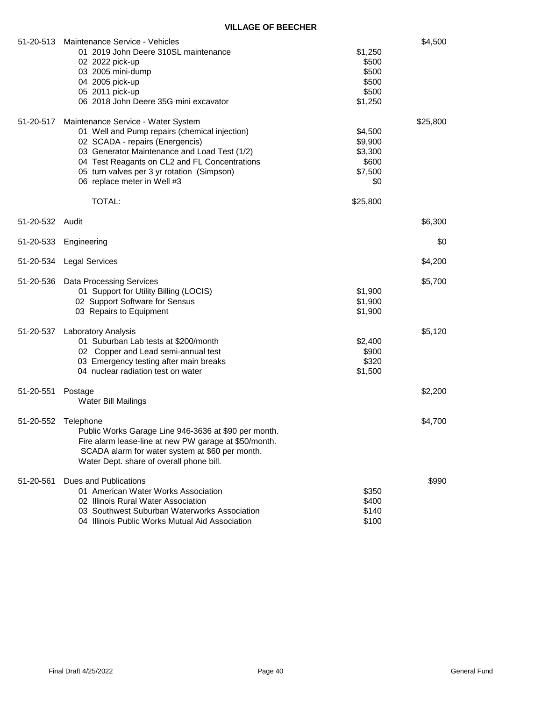| 51-20-513       | Maintenance Service - Vehicles<br>01 2019 John Deere 310SL maintenance<br>02 2022 pick-up<br>03 2005 mini-dump<br>04 2005 pick-up<br>05 2011 pick-up<br>06 2018 John Deere 35G mini excavator                                                                                                                  | \$1,250<br>\$500<br>\$500<br>\$500<br>\$500<br>\$1,250               | \$4,500  |
|-----------------|----------------------------------------------------------------------------------------------------------------------------------------------------------------------------------------------------------------------------------------------------------------------------------------------------------------|----------------------------------------------------------------------|----------|
| 51-20-517       | Maintenance Service - Water System<br>01 Well and Pump repairs (chemical injection)<br>02 SCADA - repairs (Energencis)<br>03 Generator Maintenance and Load Test (1/2)<br>04 Test Reagants on CL2 and FL Concentrations<br>05 turn valves per 3 yr rotation (Simpson)<br>06 replace meter in Well #3<br>TOTAL: | \$4,500<br>\$9,900<br>\$3,300<br>\$600<br>\$7,500<br>\$0<br>\$25,800 | \$25,800 |
| 51-20-532 Audit |                                                                                                                                                                                                                                                                                                                |                                                                      | \$6,300  |
|                 | 51-20-533 Engineering                                                                                                                                                                                                                                                                                          |                                                                      | \$0      |
| 51-20-534       | Legal Services                                                                                                                                                                                                                                                                                                 |                                                                      | \$4,200  |
| 51-20-536       | <b>Data Processing Services</b><br>01 Support for Utility Billing (LOCIS)<br>02 Support Software for Sensus<br>03 Repairs to Equipment                                                                                                                                                                         | \$1,900<br>\$1,900<br>\$1,900                                        | \$5,700  |
| 51-20-537       | <b>Laboratory Analysis</b><br>01 Suburban Lab tests at \$200/month<br>02 Copper and Lead semi-annual test<br>03 Emergency testing after main breaks<br>04 nuclear radiation test on water                                                                                                                      | \$2,400<br>\$900<br>\$320<br>\$1,500                                 | \$5,120  |
| 51-20-551       | Postage<br>Water Bill Mailings                                                                                                                                                                                                                                                                                 |                                                                      | \$2,200  |
| 51-20-552       | Telephone<br>Public Works Garage Line 946-3636 at \$90 per month.<br>Fire alarm lease-line at new PW garage at \$50/month.<br>SCADA alarm for water system at \$60 per month.<br>Water Dept. share of overall phone bill.                                                                                      |                                                                      | \$4,700  |
| 51-20-561       | Dues and Publications<br>01 American Water Works Association<br>02 Illinois Rural Water Association<br>03 Southwest Suburban Waterworks Association<br>04 Illinois Public Works Mutual Aid Association                                                                                                         | \$350<br>\$400<br>\$140<br>\$100                                     | \$990    |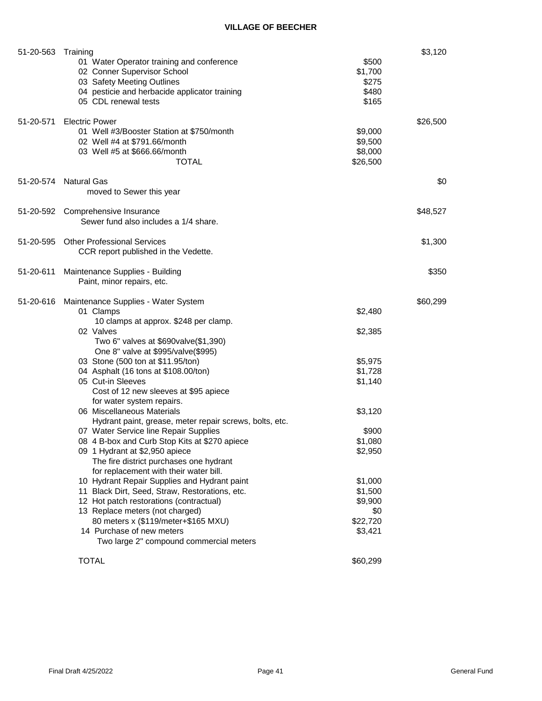| 51-20-563 | Training<br>01 Water Operator training and conference<br>02 Conner Supervisor School<br>03 Safety Meeting Outlines<br>04 pesticie and herbacide applicator training<br>05 CDL renewal tests                                                                                                                                                                                                                                                                                                                                                                                                                                                                                                                                                                                                                                                                                                                                                                           | \$500<br>\$1,700<br>\$275<br>\$480<br>\$165                                                                                                                  | \$3,120  |
|-----------|-----------------------------------------------------------------------------------------------------------------------------------------------------------------------------------------------------------------------------------------------------------------------------------------------------------------------------------------------------------------------------------------------------------------------------------------------------------------------------------------------------------------------------------------------------------------------------------------------------------------------------------------------------------------------------------------------------------------------------------------------------------------------------------------------------------------------------------------------------------------------------------------------------------------------------------------------------------------------|--------------------------------------------------------------------------------------------------------------------------------------------------------------|----------|
| 51-20-571 | <b>Electric Power</b><br>01 Well #3/Booster Station at \$750/month<br>02 Well #4 at \$791.66/month<br>03 Well #5 at \$666.66/month<br><b>TOTAL</b>                                                                                                                                                                                                                                                                                                                                                                                                                                                                                                                                                                                                                                                                                                                                                                                                                    | \$9,000<br>\$9,500<br>\$8,000<br>\$26,500                                                                                                                    | \$26,500 |
|           | 51-20-574 Natural Gas<br>moved to Sewer this year                                                                                                                                                                                                                                                                                                                                                                                                                                                                                                                                                                                                                                                                                                                                                                                                                                                                                                                     |                                                                                                                                                              | \$0      |
|           | 51-20-592 Comprehensive Insurance<br>Sewer fund also includes a 1/4 share.                                                                                                                                                                                                                                                                                                                                                                                                                                                                                                                                                                                                                                                                                                                                                                                                                                                                                            |                                                                                                                                                              | \$48,527 |
|           | 51-20-595 Other Professional Services<br>CCR report published in the Vedette.                                                                                                                                                                                                                                                                                                                                                                                                                                                                                                                                                                                                                                                                                                                                                                                                                                                                                         |                                                                                                                                                              | \$1,300  |
| 51-20-611 | Maintenance Supplies - Building<br>Paint, minor repairs, etc.                                                                                                                                                                                                                                                                                                                                                                                                                                                                                                                                                                                                                                                                                                                                                                                                                                                                                                         |                                                                                                                                                              | \$350    |
| 51-20-616 | Maintenance Supplies - Water System<br>01 Clamps<br>10 clamps at approx. \$248 per clamp.<br>02 Valves<br>Two 6" valves at \$690valve(\$1,390)<br>One 8" valve at \$995/valve(\$995)<br>03 Stone (500 ton at \$11.95/ton)<br>04 Asphalt (16 tons at \$108.00/ton)<br>05 Cut-in Sleeves<br>Cost of 12 new sleeves at \$95 apiece<br>for water system repairs.<br>06 Miscellaneous Materials<br>Hydrant paint, grease, meter repair screws, bolts, etc.<br>07 Water Service line Repair Supplies<br>08 4 B-box and Curb Stop Kits at \$270 apiece<br>09 1 Hydrant at \$2,950 apiece<br>The fire district purchases one hydrant<br>for replacement with their water bill.<br>10 Hydrant Repair Supplies and Hydrant paint<br>11 Black Dirt, Seed, Straw, Restorations, etc.<br>12 Hot patch restorations (contractual)<br>13 Replace meters (not charged)<br>80 meters x (\$119/meter+\$165 MXU)<br>14 Purchase of new meters<br>Two large 2" compound commercial meters | \$2,480<br>\$2,385<br>\$5,975<br>\$1,728<br>\$1,140<br>\$3,120<br>\$900<br>\$1,080<br>\$2,950<br>\$1,000<br>\$1,500<br>\$9,900<br>\$0<br>\$22,720<br>\$3,421 | \$60,299 |
|           | <b>TOTAL</b>                                                                                                                                                                                                                                                                                                                                                                                                                                                                                                                                                                                                                                                                                                                                                                                                                                                                                                                                                          | \$60,299                                                                                                                                                     |          |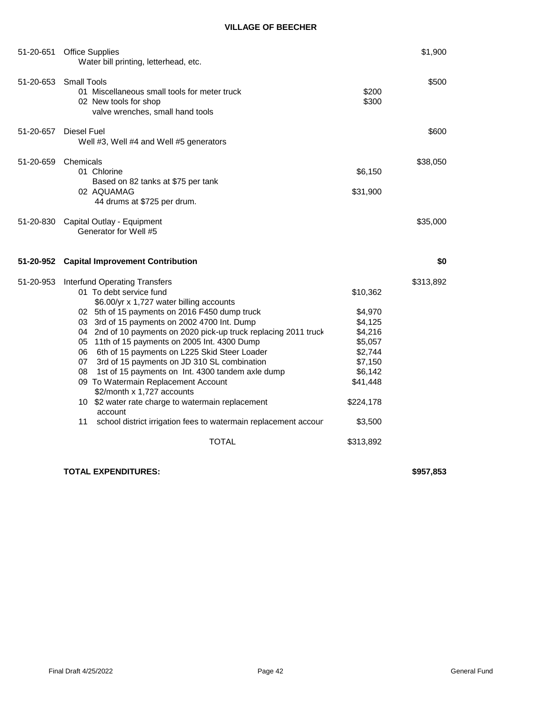| 51-20-651 | <b>Office Supplies</b><br>Water bill printing, letterhead, etc.                                                                                                                                                                                                                                                                                                                                                                                                                                                                                                              |                                                                                                   | \$1,900   |
|-----------|------------------------------------------------------------------------------------------------------------------------------------------------------------------------------------------------------------------------------------------------------------------------------------------------------------------------------------------------------------------------------------------------------------------------------------------------------------------------------------------------------------------------------------------------------------------------------|---------------------------------------------------------------------------------------------------|-----------|
|           | 51-20-653 Small Tools<br>01 Miscellaneous small tools for meter truck<br>02 New tools for shop<br>valve wrenches, small hand tools                                                                                                                                                                                                                                                                                                                                                                                                                                           | \$200<br>\$300                                                                                    | \$500     |
| 51-20-657 | Diesel Fuel<br>Well #3, Well #4 and Well #5 generators                                                                                                                                                                                                                                                                                                                                                                                                                                                                                                                       |                                                                                                   | \$600     |
| 51-20-659 | Chemicals<br>01 Chlorine<br>Based on 82 tanks at \$75 per tank<br>02 AQUAMAG<br>44 drums at \$725 per drum.                                                                                                                                                                                                                                                                                                                                                                                                                                                                  | \$6,150<br>\$31,900                                                                               | \$38,050  |
|           | 51-20-830 Capital Outlay - Equipment<br>Generator for Well #5                                                                                                                                                                                                                                                                                                                                                                                                                                                                                                                |                                                                                                   | \$35,000  |
| 51-20-952 | <b>Capital Improvement Contribution</b>                                                                                                                                                                                                                                                                                                                                                                                                                                                                                                                                      |                                                                                                   | \$0       |
| 51-20-953 | <b>Interfund Operating Transfers</b><br>01 To debt service fund<br>\$6.00/yr x 1,727 water billing accounts<br>02 5th of 15 payments on 2016 F450 dump truck<br>03 3rd of 15 payments on 2002 4700 Int. Dump<br>04 2nd of 10 payments on 2020 pick-up truck replacing 2011 truck<br>05 11th of 15 payments on 2005 Int. 4300 Dump<br>6th of 15 payments on L225 Skid Steer Loader<br>06.<br>3rd of 15 payments on JD 310 SL combination<br>07<br>08<br>1st of 15 payments on Int. 4300 tandem axle dump<br>09 To Watermain Replacement Account<br>\$2/month x 1,727 accounts | \$10,362<br>\$4,970<br>\$4,125<br>\$4,216<br>\$5,057<br>\$2,744<br>\$7,150<br>\$6,142<br>\$41,448 | \$313,892 |
|           | 10 \$2 water rate charge to watermain replacement<br>account<br>school district irrigation fees to watermain replacement accour<br>11<br><b>TOTAL</b>                                                                                                                                                                                                                                                                                                                                                                                                                        | \$224,178<br>\$3,500<br>\$313,892                                                                 |           |

# **TOTAL EXPENDITURES: \$957,853**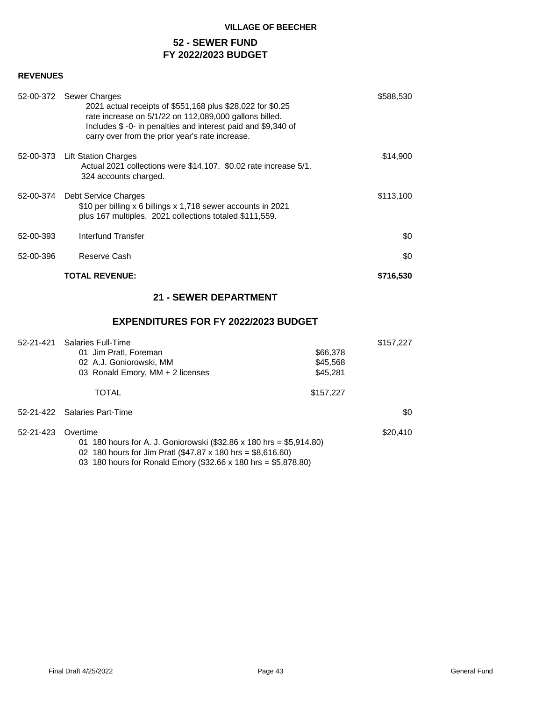# **52 - SEWER FUND FY 2022/2023 BUDGET**

# **REVENUES**

|           | 52-00-372 Sewer Charges<br>2021 actual receipts of \$551,168 plus \$28,022 for \$0.25<br>rate increase on 5/1/22 on 112,089,000 gallons billed.<br>Includes \$-0- in penalties and interest paid and \$9,340 of<br>carry over from the prior year's rate increase. | \$588,530 |
|-----------|--------------------------------------------------------------------------------------------------------------------------------------------------------------------------------------------------------------------------------------------------------------------|-----------|
|           | 52-00-373 Lift Station Charges<br>Actual 2021 collections were \$14,107. \$0.02 rate increase 5/1.<br>324 accounts charged.                                                                                                                                        | \$14,900  |
|           | 52-00-374 Debt Service Charges<br>\$10 per billing x 6 billings x 1,718 sewer accounts in 2021<br>plus 167 multiples. 2021 collections totaled \$111,559.                                                                                                          | \$113,100 |
| 52-00-393 | Interfund Transfer                                                                                                                                                                                                                                                 | \$0       |
| 52-00-396 | Reserve Cash                                                                                                                                                                                                                                                       | \$0       |
|           | <b>TOTAL REVENUE:</b>                                                                                                                                                                                                                                              | \$716,530 |

# **21 - SEWER DEPARTMENT**

# **EXPENDITURES FOR FY 2022/2023 BUDGET**

| 52-21-421 | <b>Salaries Full-Time</b><br>01 Jim Pratl, Foreman<br>02 A.J. Goniorowski, MM<br>03 Ronald Emory, MM + 2 licenses                                                                                                   | \$66,378<br>\$45,568<br>\$45,281 | \$157,227 |
|-----------|---------------------------------------------------------------------------------------------------------------------------------------------------------------------------------------------------------------------|----------------------------------|-----------|
|           | <b>TOTAL</b>                                                                                                                                                                                                        | \$157,227                        |           |
|           | 52-21-422 Salaries Part-Time                                                                                                                                                                                        |                                  | \$0       |
| 52-21-423 | Overtime<br>180 hours for A. J. Goniorowski (\$32.86 x 180 hrs = \$5,914.80)<br>01<br>02 180 hours for Jim Pratl (\$47.87 x 180 hrs = \$8,616.60)<br>03 180 hours for Ronald Emory (\$32.66 x 180 hrs = \$5,878.80) |                                  | \$20,410  |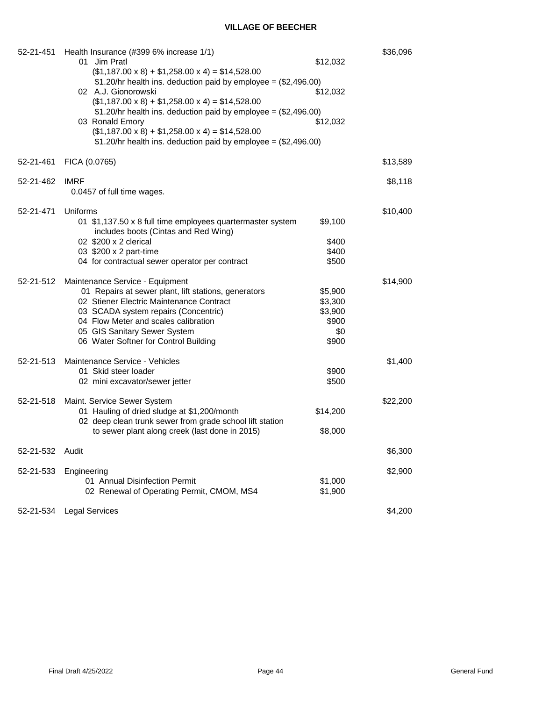| 52-21-451 | Health Insurance (#399 6% increase 1/1)<br>01<br>Jim Pratl<br>$($1,187.00 \times 8) + $1,258.00 \times 4) = $14,528.00$<br>$$1.20/hr$ health ins. deduction paid by employee = $$2,496.00$ )<br>02 A.J. Gionorowski<br>$($1,187.00 \times 8) + $1,258.00 \times 4) = $14,528.00$<br>$$1.20/hr$ health ins. deduction paid by employee = $$2,496.00$ )<br>03 Ronald Emory<br>$($1,187.00 \times 8) + $1,258.00 \times 4) = $14,528.00$<br>$$1.20/hr$ health ins. deduction paid by employee = $$2,496.00$ ) | \$12,032<br>\$12,032<br>\$12,032                       | \$36,096 |
|-----------|------------------------------------------------------------------------------------------------------------------------------------------------------------------------------------------------------------------------------------------------------------------------------------------------------------------------------------------------------------------------------------------------------------------------------------------------------------------------------------------------------------|--------------------------------------------------------|----------|
| 52-21-461 | FICA (0.0765)                                                                                                                                                                                                                                                                                                                                                                                                                                                                                              |                                                        | \$13,589 |
| 52-21-462 | <b>IMRF</b><br>0.0457 of full time wages.                                                                                                                                                                                                                                                                                                                                                                                                                                                                  |                                                        | \$8,118  |
| 52-21-471 | Uniforms<br>01 \$1,137.50 x 8 full time employees quartermaster system<br>includes boots (Cintas and Red Wing)<br>02 \$200 x 2 clerical<br>03 \$200 x 2 part-time<br>04 for contractual sewer operator per contract                                                                                                                                                                                                                                                                                        | \$9,100<br>\$400<br>\$400<br>\$500                     | \$10,400 |
| 52-21-512 | Maintenance Service - Equipment<br>01 Repairs at sewer plant, lift stations, generators<br>02 Stiener Electric Maintenance Contract<br>03 SCADA system repairs (Concentric)<br>04 Flow Meter and scales calibration<br>05 GIS Sanitary Sewer System<br>06 Water Softner for Control Building                                                                                                                                                                                                               | \$5,900<br>\$3,300<br>\$3,900<br>\$900<br>\$0<br>\$900 | \$14,900 |
| 52-21-513 | Maintenance Service - Vehicles<br>01 Skid steer loader<br>02 mini excavator/sewer jetter                                                                                                                                                                                                                                                                                                                                                                                                                   | \$900<br>\$500                                         | \$1,400  |
| 52-21-518 | Maint. Service Sewer System<br>01 Hauling of dried sludge at \$1,200/month<br>02 deep clean trunk sewer from grade school lift station<br>to sewer plant along creek (last done in 2015)                                                                                                                                                                                                                                                                                                                   | \$14,200<br>\$8,000                                    | \$22,200 |
| 52-21-532 | Audit                                                                                                                                                                                                                                                                                                                                                                                                                                                                                                      |                                                        | \$6,300  |
| 52-21-533 | Engineering<br>01 Annual Disinfection Permit<br>02 Renewal of Operating Permit, CMOM, MS4                                                                                                                                                                                                                                                                                                                                                                                                                  | \$1,000<br>\$1,900                                     | \$2,900  |
|           | 52-21-534 Legal Services                                                                                                                                                                                                                                                                                                                                                                                                                                                                                   |                                                        | \$4,200  |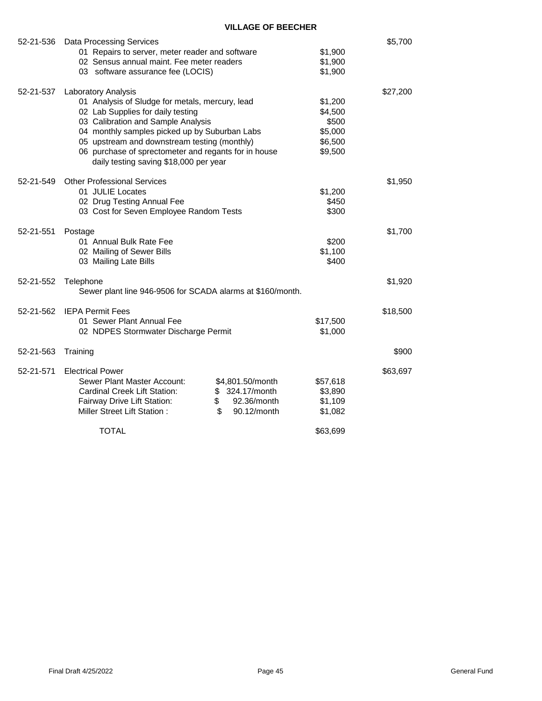| 52-21-536 | <b>Data Processing Services</b>                            |          | \$5,700  |
|-----------|------------------------------------------------------------|----------|----------|
|           | 01 Repairs to server, meter reader and software            | \$1,900  |          |
|           | 02 Sensus annual maint. Fee meter readers                  | \$1,900  |          |
|           | 03 software assurance fee (LOCIS)                          | \$1,900  |          |
| 52-21-537 | Laboratory Analysis                                        |          | \$27,200 |
|           | 01 Analysis of Sludge for metals, mercury, lead            | \$1,200  |          |
|           | 02 Lab Supplies for daily testing                          | \$4,500  |          |
|           | 03 Calibration and Sample Analysis                         | \$500    |          |
|           | 04 monthly samples picked up by Suburban Labs              | \$5,000  |          |
|           | 05 upstream and downstream testing (monthly)               | \$6,500  |          |
|           | 06 purchase of sprectometer and regants for in house       | \$9,500  |          |
|           | daily testing saving \$18,000 per year                     |          |          |
| 52-21-549 | <b>Other Professional Services</b>                         |          | \$1,950  |
|           | 01 JULIE Locates                                           | \$1,200  |          |
|           | 02 Drug Testing Annual Fee                                 | \$450    |          |
|           | 03 Cost for Seven Employee Random Tests                    | \$300    |          |
|           |                                                            |          |          |
| 52-21-551 | Postage                                                    |          | \$1,700  |
|           | 01 Annual Bulk Rate Fee                                    | \$200    |          |
|           | 02 Mailing of Sewer Bills                                  | \$1,100  |          |
|           | 03 Mailing Late Bills                                      | \$400    |          |
| 52-21-552 | Telephone                                                  |          | \$1,920  |
|           | Sewer plant line 946-9506 for SCADA alarms at \$160/month. |          |          |
| 52-21-562 | <b>IEPA Permit Fees</b>                                    |          | \$18,500 |
|           | 01 Sewer Plant Annual Fee                                  | \$17,500 |          |
|           | 02 NDPES Stormwater Discharge Permit                       | \$1,000  |          |
| 52-21-563 | Training                                                   |          | \$900    |
| 52-21-571 | <b>Electrical Power</b>                                    |          | \$63,697 |
|           | Sewer Plant Master Account:<br>\$4,801.50/month            | \$57,618 |          |
|           | \$ 324.17/month<br><b>Cardinal Creek Lift Station:</b>     | \$3,890  |          |
|           | \$<br>92.36/month<br>Fairway Drive Lift Station:           | \$1,109  |          |
|           | \$<br>Miller Street Lift Station:<br>90.12/month           | \$1,082  |          |
|           |                                                            |          |          |
|           | TOTAL                                                      | \$63,699 |          |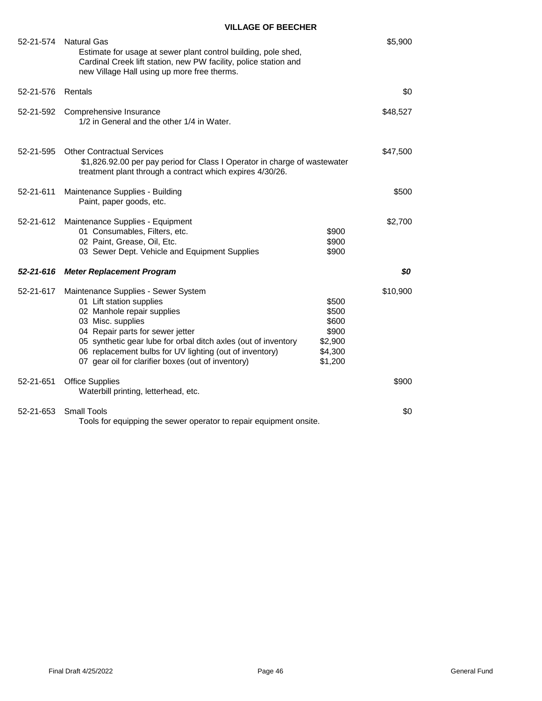| 52-21-574 | <b>Natural Gas</b><br>Estimate for usage at sewer plant control building, pole shed,<br>Cardinal Creek lift station, new PW facility, police station and<br>new Village Hall using up more free therms.                                                                                                                                   |                                                                   | \$5,900  |
|-----------|-------------------------------------------------------------------------------------------------------------------------------------------------------------------------------------------------------------------------------------------------------------------------------------------------------------------------------------------|-------------------------------------------------------------------|----------|
| 52-21-576 | Rentals                                                                                                                                                                                                                                                                                                                                   |                                                                   | \$0      |
| 52-21-592 | Comprehensive Insurance<br>1/2 in General and the other 1/4 in Water.                                                                                                                                                                                                                                                                     |                                                                   | \$48,527 |
| 52-21-595 | <b>Other Contractual Services</b><br>\$1,826.92.00 per pay period for Class I Operator in charge of wastewater<br>treatment plant through a contract which expires 4/30/26.                                                                                                                                                               |                                                                   | \$47,500 |
| 52-21-611 | Maintenance Supplies - Building<br>Paint, paper goods, etc.                                                                                                                                                                                                                                                                               |                                                                   | \$500    |
| 52-21-612 | Maintenance Supplies - Equipment<br>01 Consumables, Filters, etc.<br>02 Paint, Grease, Oil, Etc.<br>03 Sewer Dept. Vehicle and Equipment Supplies                                                                                                                                                                                         | \$900<br>\$900<br>\$900                                           | \$2,700  |
| 52-21-616 | <b>Meter Replacement Program</b>                                                                                                                                                                                                                                                                                                          |                                                                   | \$0      |
| 52-21-617 | Maintenance Supplies - Sewer System<br>01 Lift station supplies<br>02 Manhole repair supplies<br>03 Misc. supplies<br>04 Repair parts for sewer jetter<br>05 synthetic gear lube for orbal ditch axles (out of inventory<br>06 replacement bulbs for UV lighting (out of inventory)<br>07 gear oil for clarifier boxes (out of inventory) | \$500<br>\$500<br>\$600<br>\$900<br>\$2,900<br>\$4,300<br>\$1,200 | \$10,900 |
| 52-21-651 | <b>Office Supplies</b><br>Waterbill printing, letterhead, etc.                                                                                                                                                                                                                                                                            |                                                                   | \$900    |
| 52-21-653 | <b>Small Tools</b><br>Tools for equipping the sewer operator to repair equipment onsite.                                                                                                                                                                                                                                                  |                                                                   | \$0      |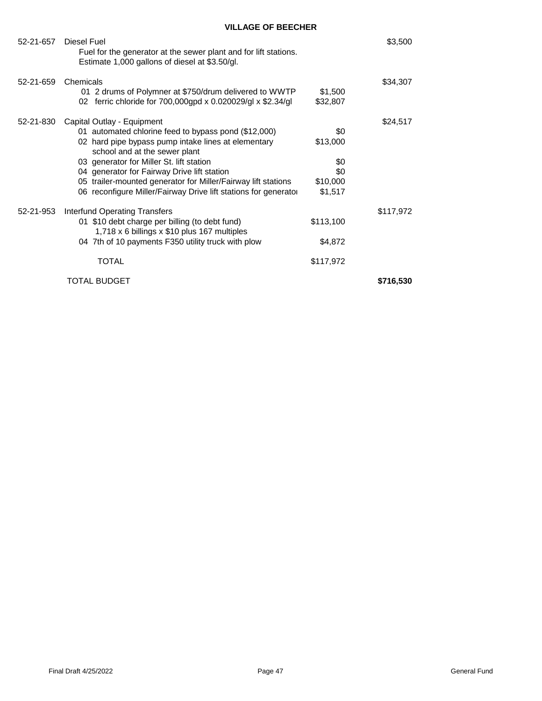| 52-21-657 | Diesel Fuel<br>Fuel for the generator at the sewer plant and for lift stations.<br>Estimate 1,000 gallons of diesel at \$3.50/gl.                                                                                                                                                                                                                                                                         |                                                      | \$3,500   |
|-----------|-----------------------------------------------------------------------------------------------------------------------------------------------------------------------------------------------------------------------------------------------------------------------------------------------------------------------------------------------------------------------------------------------------------|------------------------------------------------------|-----------|
| 52-21-659 | Chemicals<br>01 2 drums of Polymner at \$750/drum delivered to WWTP<br>02 ferric chloride for 700,000gpd x 0.020029/gl x \$2.34/gl                                                                                                                                                                                                                                                                        | \$1,500<br>\$32,807                                  | \$34,307  |
| 52-21-830 | Capital Outlay - Equipment<br>01 automated chlorine feed to bypass pond (\$12,000)<br>02 hard pipe bypass pump intake lines at elementary<br>school and at the sewer plant<br>03 generator for Miller St. lift station<br>04 generator for Fairway Drive lift station<br>05 trailer-mounted generator for Miller/Fairway lift stations<br>06 reconfigure Miller/Fairway Drive lift stations for generator | \$0<br>\$13,000<br>\$0<br>\$0<br>\$10,000<br>\$1,517 | \$24,517  |
| 52-21-953 | <b>Interfund Operating Transfers</b><br>01 \$10 debt charge per billing (to debt fund)<br>1,718 x 6 billings x \$10 plus 167 multiples<br>04 7th of 10 payments F350 utility truck with plow<br>TOTAL                                                                                                                                                                                                     | \$113,100<br>\$4,872<br>\$117,972                    | \$117,972 |
|           | TOTAL BUDGET                                                                                                                                                                                                                                                                                                                                                                                              |                                                      | \$716,530 |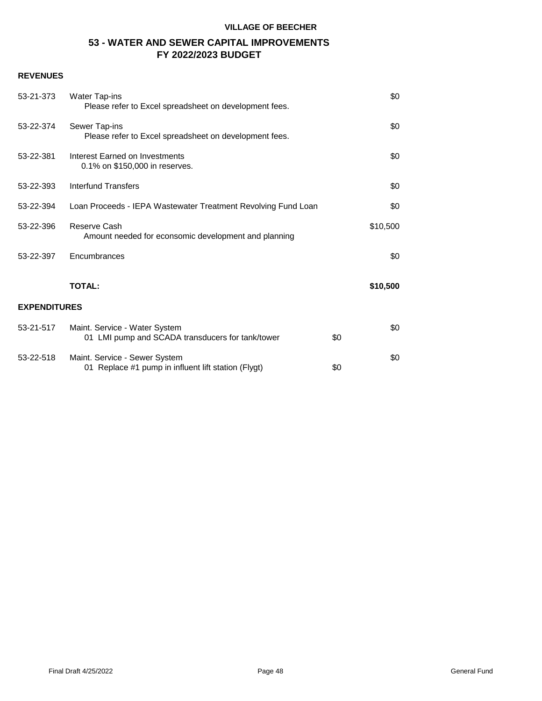# **53 - WATER AND SEWER CAPITAL IMPROVEMENTS FY 2022/2023 BUDGET**

| 53-21-373           | Water Tap-ins<br>Please refer to Excel spreadsheet on development fees.              |     | \$0      |
|---------------------|--------------------------------------------------------------------------------------|-----|----------|
| 53-22-374           | Sewer Tap-ins<br>Please refer to Excel spreadsheet on development fees.              |     | \$0      |
| 53-22-381           | Interest Earned on Investments<br>0.1% on \$150,000 in reserves.                     |     | \$0      |
| 53-22-393           | Interfund Transfers                                                                  |     | \$0      |
| 53-22-394           | Loan Proceeds - IEPA Wastewater Treatment Revolving Fund Loan                        |     | \$0      |
| 53-22-396           | Reserve Cash<br>Amount needed for econsomic development and planning                 |     | \$10,500 |
| 53-22-397           | Encumbrances                                                                         |     | \$0      |
|                     | <b>TOTAL:</b>                                                                        |     | \$10,500 |
| <b>EXPENDITURES</b> |                                                                                      |     |          |
| 53-21-517           | Maint. Service - Water System<br>01 LMI pump and SCADA transducers for tank/tower    | \$0 | \$0      |
| 53-22-518           | Maint. Service - Sewer System<br>01 Replace #1 pump in influent lift station (Flygt) | \$0 | \$0      |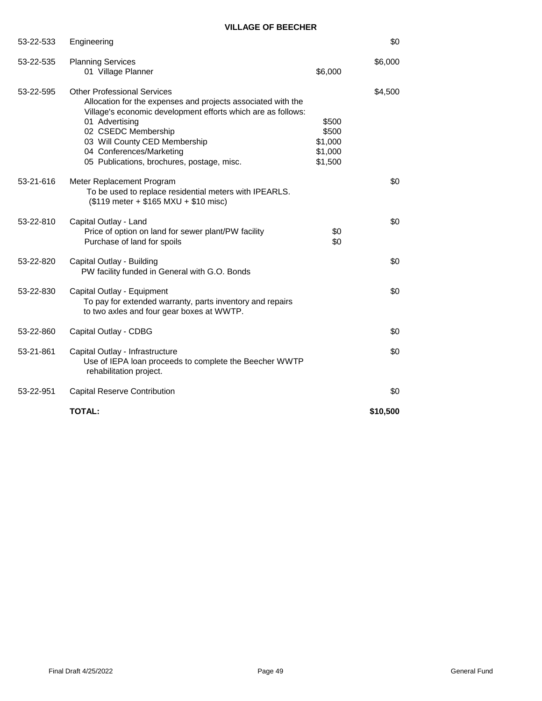|           | <b>TOTAL:</b>                                                                                                                                                                                                                                                                                                          |                                                 | \$10,500 |
|-----------|------------------------------------------------------------------------------------------------------------------------------------------------------------------------------------------------------------------------------------------------------------------------------------------------------------------------|-------------------------------------------------|----------|
| 53-22-951 | <b>Capital Reserve Contribution</b>                                                                                                                                                                                                                                                                                    |                                                 | \$0      |
| 53-21-861 | Capital Outlay - Infrastructure<br>Use of IEPA loan proceeds to complete the Beecher WWTP<br>rehabilitation project.                                                                                                                                                                                                   |                                                 | \$0      |
| 53-22-860 | Capital Outlay - CDBG                                                                                                                                                                                                                                                                                                  |                                                 | \$0      |
| 53-22-830 | Capital Outlay - Equipment<br>To pay for extended warranty, parts inventory and repairs<br>to two axles and four gear boxes at WWTP.                                                                                                                                                                                   |                                                 | \$0      |
| 53-22-820 | Capital Outlay - Building<br>PW facility funded in General with G.O. Bonds                                                                                                                                                                                                                                             |                                                 | \$0      |
| 53-22-810 | Capital Outlay - Land<br>Price of option on land for sewer plant/PW facility<br>Purchase of land for spoils                                                                                                                                                                                                            | \$0<br>\$0                                      | \$0      |
| 53-21-616 | Meter Replacement Program<br>To be used to replace residential meters with IPEARLS.<br>$($119$ meter + $$165$ MXU + \$10 misc)                                                                                                                                                                                         |                                                 | \$0      |
| 53-22-595 | <b>Other Professional Services</b><br>Allocation for the expenses and projects associated with the<br>Village's economic development efforts which are as follows:<br>01 Advertising<br>02 CSEDC Membership<br>03 Will County CED Membership<br>04 Conferences/Marketing<br>05 Publications, brochures, postage, misc. | \$500<br>\$500<br>\$1,000<br>\$1,000<br>\$1,500 | \$4,500  |
|           | 01 Village Planner                                                                                                                                                                                                                                                                                                     | \$6,000                                         |          |
| 53-22-535 | <b>Planning Services</b>                                                                                                                                                                                                                                                                                               |                                                 | \$6,000  |
| 53-22-533 | Engineering                                                                                                                                                                                                                                                                                                            |                                                 | \$0      |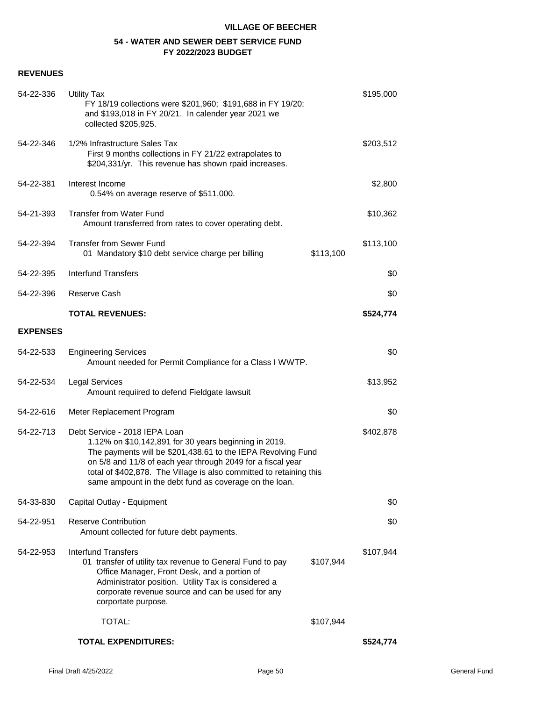# **54 - WATER AND SEWER DEBT SERVICE FUND FY 2022/2023 BUDGET**

| 54-22-336       | <b>Utility Tax</b><br>FY 18/19 collections were \$201,960; \$191,688 in FY 19/20;<br>and \$193,018 in FY 20/21. In calender year 2021 we<br>collected \$205,925.                                                                                                                                                                                       |           | \$195,000 |
|-----------------|--------------------------------------------------------------------------------------------------------------------------------------------------------------------------------------------------------------------------------------------------------------------------------------------------------------------------------------------------------|-----------|-----------|
| 54-22-346       | 1/2% Infrastructure Sales Tax<br>First 9 months collections in FY 21/22 extrapolates to<br>\$204,331/yr. This revenue has shown rpaid increases.                                                                                                                                                                                                       |           | \$203,512 |
| 54-22-381       | Interest Income<br>0.54% on average reserve of \$511,000.                                                                                                                                                                                                                                                                                              |           | \$2,800   |
| 54-21-393       | <b>Transfer from Water Fund</b><br>Amount transferred from rates to cover operating debt.                                                                                                                                                                                                                                                              |           | \$10,362  |
| 54-22-394       | <b>Transfer from Sewer Fund</b><br>01 Mandatory \$10 debt service charge per billing                                                                                                                                                                                                                                                                   | \$113,100 | \$113,100 |
| 54-22-395       | <b>Interfund Transfers</b>                                                                                                                                                                                                                                                                                                                             |           | \$0       |
| 54-22-396       | Reserve Cash                                                                                                                                                                                                                                                                                                                                           |           | \$0       |
|                 | <b>TOTAL REVENUES:</b>                                                                                                                                                                                                                                                                                                                                 |           | \$524,774 |
| <b>EXPENSES</b> |                                                                                                                                                                                                                                                                                                                                                        |           |           |
| 54-22-533       | <b>Engineering Services</b><br>Amount needed for Permit Compliance for a Class I WWTP.                                                                                                                                                                                                                                                                 |           | \$0       |
| 54-22-534       | <b>Legal Services</b><br>Amount requiired to defend Fieldgate lawsuit                                                                                                                                                                                                                                                                                  |           | \$13,952  |
| 54-22-616       | Meter Replacement Program                                                                                                                                                                                                                                                                                                                              |           | \$0       |
| 54-22-713       | Debt Service - 2018 IEPA Loan<br>1.12% on \$10,142,891 for 30 years beginning in 2019.<br>The payments will be \$201,438.61 to the IEPA Revolving Fund<br>on 5/8 and 11/8 of each year through 2049 for a fiscal year<br>total of \$402,878. The Village is also committed to retaining this<br>same ampount in the debt fund as coverage on the loan. |           | \$402,878 |
| 54-33-830       | Capital Outlay - Equipment                                                                                                                                                                                                                                                                                                                             |           | \$0       |
| 54-22-951       | <b>Reserve Contribution</b><br>Amount collected for future debt payments.                                                                                                                                                                                                                                                                              |           | \$0       |
| 54-22-953       | <b>Interfund Transfers</b><br>01 transfer of utility tax revenue to General Fund to pay<br>Office Manager, Front Desk, and a portion of<br>Administrator position. Utility Tax is considered a<br>corporate revenue source and can be used for any<br>corportate purpose.                                                                              | \$107,944 | \$107,944 |
|                 | TOTAL:                                                                                                                                                                                                                                                                                                                                                 | \$107,944 |           |
|                 | <b>TOTAL EXPENDITURES:</b>                                                                                                                                                                                                                                                                                                                             |           | \$524,774 |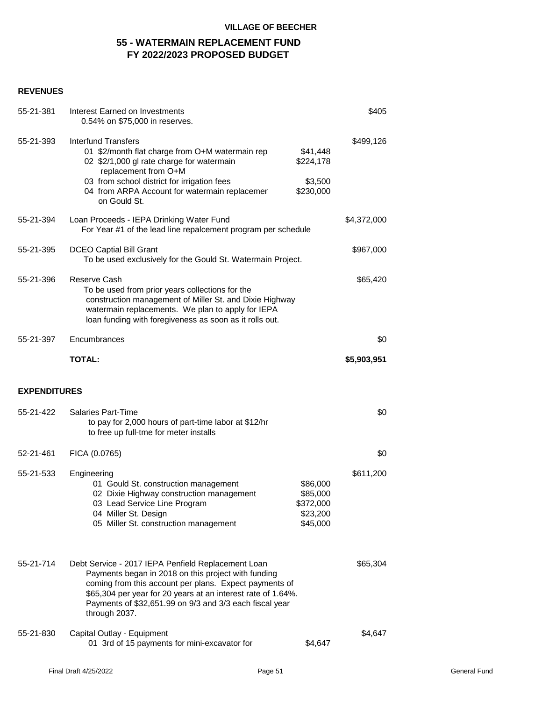# **55 - WATERMAIN REPLACEMENT FUND FY 2022/2023 PROPOSED BUDGET**

| 55-21-381           | Interest Earned on Investments<br>0.54% on \$75,000 in reserves.                                                                                                                                                                                                                                                |                                                           | \$405       |
|---------------------|-----------------------------------------------------------------------------------------------------------------------------------------------------------------------------------------------------------------------------------------------------------------------------------------------------------------|-----------------------------------------------------------|-------------|
| 55-21-393           | <b>Interfund Transfers</b><br>01 \$2/month flat charge from O+M watermain repl<br>02 \$2/1,000 gl rate charge for watermain<br>replacement from O+M<br>03 from school district for irrigation fees<br>04 from ARPA Account for watermain replacemen                                                             | \$41,448<br>\$224,178<br>\$3,500<br>\$230,000             | \$499,126   |
| 55-21-394           | on Gould St.<br>Loan Proceeds - IEPA Drinking Water Fund                                                                                                                                                                                                                                                        |                                                           | \$4,372,000 |
|                     | For Year #1 of the lead line repalcement program per schedule                                                                                                                                                                                                                                                   |                                                           |             |
| 55-21-395           | <b>DCEO Captial Bill Grant</b><br>To be used exclusively for the Gould St. Watermain Project.                                                                                                                                                                                                                   |                                                           | \$967,000   |
| 55-21-396           | Reserve Cash<br>To be used from prior years collections for the<br>construction management of Miller St. and Dixie Highway<br>watermain replacements. We plan to apply for IEPA<br>loan funding with foregiveness as soon as it rolls out.                                                                      |                                                           | \$65,420    |
| 55-21-397           | Encumbrances                                                                                                                                                                                                                                                                                                    |                                                           | \$0         |
|                     | <b>TOTAL:</b>                                                                                                                                                                                                                                                                                                   |                                                           | \$5,903,951 |
|                     |                                                                                                                                                                                                                                                                                                                 |                                                           |             |
| <b>EXPENDITURES</b> |                                                                                                                                                                                                                                                                                                                 |                                                           |             |
| 55-21-422           | <b>Salaries Part-Time</b><br>to pay for 2,000 hours of part-time labor at \$12/hr<br>to free up full-tme for meter installs                                                                                                                                                                                     |                                                           | \$0         |
| 52-21-461           | FICA (0.0765)                                                                                                                                                                                                                                                                                                   |                                                           | \$0         |
| 55-21-533           | Engineering<br>01 Gould St. construction management<br>02 Dixie Highway construction management<br>03 Lead Service Line Program<br>04 Miller St. Design<br>05 Miller St. construction management                                                                                                                | \$86,000<br>\$85,000<br>\$372,000<br>\$23,200<br>\$45,000 | \$611,200   |
| 55-21-714           | Debt Service - 2017 IEPA Penfield Replacement Loan<br>Payments began in 2018 on this project with funding<br>coming from this account per plans. Expect payments of<br>\$65,304 per year for 20 years at an interest rate of 1.64%.<br>Payments of \$32,651.99 on 9/3 and 3/3 each fiscal year<br>through 2037. |                                                           | \$65,304    |